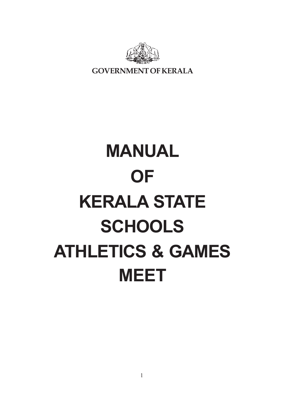

**GOVERNMENT OF KERALA**

# **MANUAL OF KERALA STATE SCHOOLS ATHLETICS & GAMES MEET**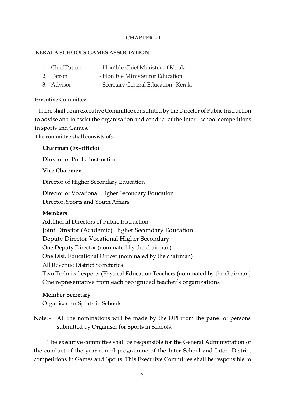## **CHAPTER – I**

#### **KERALA SCHOOLS GAMES ASSOCIATION**

- 1. Chief Patron Hon'ble Chief Minister of Kerala
- 2. Patron Hon'ble Minister for Education
- 3. Advisor Secretary General Education , Kerala

#### **Executive Committee**

 There shall be an executive Committee constituted by the Director of Public Instruction to advise and to assist the organisation and conduct of the Inter - school competitions in sports and Games.

**The committee shall consists of:-**

#### **Chairman (Ex-officio)**

Director of Public Instruction

#### **Vice Chairmen**

Director of Higher Secondary Education

Director of Vocational Higher Secondary Education Director, Sports and Youth Affairs.

#### **Members**

Additional Directors of Public Instruction Joint Director (Academic) Higher Secondary Education Deputy Director Vocational Higher Secondary One Deputy Director (nominated by the chairman) One Dist. Educational Officer (nominated by the chairman) All Revenue District Secretaries Two Technical experts (Physical Education Teachers (nominated by the chairman) One representative from each recognized teacher's organizations

#### **Member Secretary**

Organiser for Sports in Schools

Note: - All the nominations will be made by the DPI from the panel of persons submitted by Organiser for Sports in Schools.

The executive committee shall be responsible for the General Administration of the conduct of the year round programme of the Inter School and Inter- District competitions in Games and Sports. This Executive Committee shall be responsible to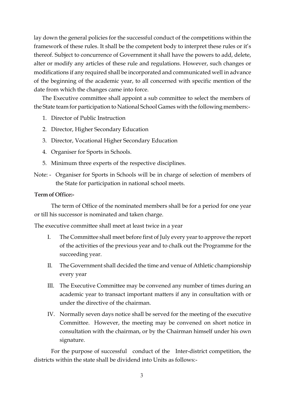lay down the general policies for the successful conduct of the competitions within the framework of these rules. It shall be the competent body to interpret these rules or it's thereof. Subject to concurrence of Government it shall have the powers to add, delete, alter or modify any articles of these rule and regulations. However, such changes or modifications if any required shall be incorporated and communicated well in advance of the beginning of the academic year, to all concerned with specific mention of the date from which the changes came into force.

The Executive committee shall appoint a sub committee to select the members of the State team for participation to National School Games with the following members:-

- 1. Director of Public Instruction
- 2. Director, Higher Secondary Education
- 3. Director, Vocational Higher Secondary Education
- 4. Organiser for Sports in Schools.
- 5. Minimum three experts of the respective disciplines.
- Note: Organiser for Sports in Schools will be in charge of selection of members of the State for participation in national school meets.

#### **Term of Office:-**

The term of Office of the nominated members shall be for a period for one year or till his successor is nominated and taken charge.

The executive committee shall meet at least twice in a year

- I. The Committee shall meet before first of July every year to approve the report of the activities of the previous year and to chalk out the Programme for the succeeding year.
- II. The Government shall decided the time and venue of Athletic championship every year
- III. The Executive Committee may be convened any number of times during an academic year to transact important matters if any in consultation with or under the directive of the chairman.
- IV. Normally seven days notice shall be served for the meeting of the executive Committee. However, the meeting may be convened on short notice in consultation with the chairman, or by the Chairman himself under his own signature.

For the purpose of successful conduct of the Inter-district competition, the districts within the state shall be dividend into Units as follows:-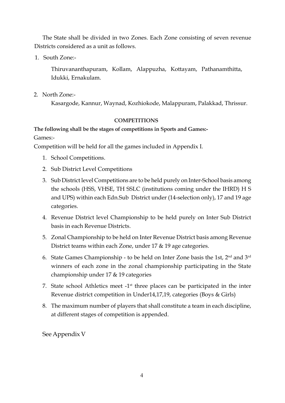The State shall be divided in two Zones. Each Zone consisting of seven revenue Districts considered as a unit as follows.

1. South Zone:-

Thiruvananthapuram, Kollam, Alappuzha, Kottayam, Pathanamthitta, Idukki, Ernakulam.

2. North Zone:-

Kasargode, Kannur, Waynad, Kozhiokode, Malappuram, Palakkad, Thrissur.

## **COMPETITIONS**

# **The following shall be the stages of competitions in Sports and Games:-**

Games:-

Competition will be held for all the games included in Appendix I.

- 1. School Competitions.
- 2. Sub District Level Competitions
- 3. Sub District level Competitions are to be held purely on Inter-School basis among the schools (HSS, VHSE, TH SSLC (institutions coming under the IHRD) H S and UPS) within each Edn.Sub District under (14-selection only), 17 and 19 age categories.
- 4. Revenue District level Championship to be held purely on Inter Sub District basis in each Revenue Districts.
- 5. Zonal Championship to be held on Inter Revenue District basis among Revenue District teams within each Zone, under 17 & 19 age categories.
- 6. State Games Championship to be held on Inter Zone basis the 1st, 2nd and 3rd winners of each zone in the zonal championship participating in the State championship under 17 & 19 categories
- 7. State school Athletics meet  $-1$ <sup>st</sup> three places can be participated in the inter Revenue district competition in Under14,17,19, categories (Boys & Girls)
- 8. The maximum number of players that shall constitute a team in each discipline, at different stages of competition is appended.

See Appendix V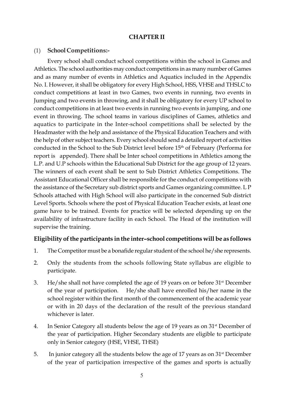## **CHAPTER II**

#### (1) **School Competitions:-**

Every school shall conduct school competitions within the school in Games and Athletics. The school authorities may conduct competitions in as many number of Games and as many number of events in Athletics and Aquatics included in the Appendix No. I. However, it shall be obligatory for every High School, HSS, VHSE and THSLC to conduct competitions at least in two Games, two events in running, two events in Jumping and two events in throwing, and it shall be obligatory for every UP school to conduct competitions in at least two events in running two events in jumping, and one event in throwing. The school teams in various disciplines of Games, athletics and aquatics to participate in the Inter-school competitions shall be selected by the Headmaster with the help and assistance of the Physical Education Teachers and with the help of other subject teachers. Every school should send a detailed report of activities conducted in the School to the Sub District level before 15th of February (Performa for report is appended). There shall be Inter school competitions in Athletics among the L.P. and U.P schools within the Educational Sub District for the age group of 12 years. The winners of each event shall be sent to Sub District Athletics Competitions. The Assistant Educational Officer shall be responsible for the conduct of competitions with the assistance of the Secretary sub district sports and Games organizing committee. L P Schools attached with High School will also participate in the concerned Sub district Level Sports. Schools where the post of Physical Education Teacher exists, at least one game have to be trained. Events for practice will be selected depending up on the availability of infrastructure facility in each School. The Head of the institution will supervise the training.

## **Eligibility of the participants in the inter–school competitions will be as follows**

- 1. The Competitor must be a bonafide regular student of the school he/she represents.
- 2. Only the students from the schools following State syllabus are eligible to participate.
- 3. He/she shall not have completed the age of 19 years on or before  $31<sup>st</sup>$  December of the year of participation. He/she shall have enrolled his/her name in the school register within the first month of the commencement of the academic year or with in 20 days of the declaration of the result of the previous standard whichever is later.
- 4. In Senior Category all students below the age of 19 years as on 31st December of the year of participation. Higher Secondary students are eligible to participate only in Senior category (HSE, VHSE, THSE)
- 5. In junior category all the students below the age of 17 years as on 31st December of the year of participation irrespective of the games and sports is actually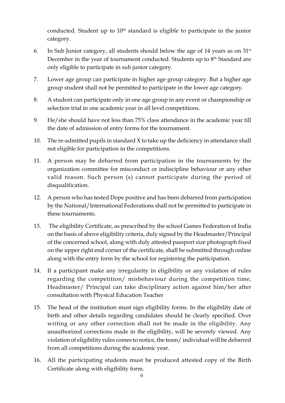conducted. Student up to  $10<sup>th</sup>$  standard is eligible to participate in the junior category.

- 6. In Sub Junior category, all students should below the age of 14 years as on  $31<sup>st</sup>$ December in the year of tournament conducted. Students up to  $8<sup>th</sup>$  Standard are only eligible to participate in sub junior category.
- 7. Lower age group can participate in higher age group category. But a higher age group student shall not be permitted to participate in the lower age category.
- 8. A student can participate only in one age group in any event or championship or selection trial in one academic year in all level competitions.
- 9. He/she should have not less than 75% class attendance in the academic year till the date of admission of entry forms for the tournament.
- 10. The re-admitted pupils in standard X to take up the deficiency in attendance shall not eligible for participation in the competitions.
- 11. A person may be debarred from participation in the tournaments by the organization committee for misconduct or indiscipline behaviour or any other valid reason. Such person (s) cannot participate during the period of disqualification.
- 12. A person who has tested Dope positive and has been debarred from participation by the National/International Federations shall not be permitted to participate in these tournaments.
- 13. The eligibility Certificate, as prescribed by the school Games Federation of India on the basis of above eligibility criteria, duly signed by the Headmaster/Principal of the concerned school, along with duly attested passport size photograph fixed on the upper right end corner of the certificate, shall be submitted through online along with the entry form by the school for registering the participation.
- 14. If a participant make any irregularity in eligibility or any violation of rules regarding the competition/ misbehaviour during the competition time, Headmaster/ Principal can take disciplinary action against him/her after consultation with Physical Education Teacher
- 15. The head of the institution must sign eligibility forms. In the eligibility date of birth and other details regarding candidates should be clearly specified. Over writing or any other correction shall not be made in the eligibility. Any unauthorized corrections made in the eligibility, will be severely viewed. Any violation of eligibility rules comes to notice, the team/ individual will be debarred from all competitions during the academic year.
- 16. All the participating students must be produced attested copy of the Birth Certificate along with eligibility form.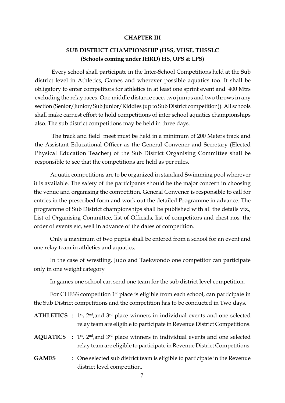#### **CHAPTER III**

# **SUB DISTRICT CHAMPIONSHIP (HSS, VHSE, THSSLC (Schools coming under IHRD) HS, UPS & LPS)**

Every school shall participate in the Inter-School Competitions held at the Sub district level in Athletics, Games and wherever possible aquatics too. It shall be obligatory to enter competitors for athletics in at least one sprint event and 400 Mtrs excluding the relay races. One middle distance race, two jumps and two throws in any section (Senior/Junior/Sub Junior/Kiddies (up to Sub District competition)). All schools shall make earnest effort to hold competitions of inter school aquatics championships also. The sub district competitions may be held in three days.

The track and field meet must be held in a minimum of 200 Meters track and the Assistant Educational Officer as the General Convener and Secretary (Elected Physical Education Teacher) of the Sub District Organising Committee shall be responsible to see that the competitions are held as per rules.

Aquatic competitions are to be organized in standard Swimming pool wherever it is available. The safety of the participants should be the major concern in choosing the venue and organising the competition. General Convener is responsible to call for entries in the prescribed form and work out the detailed Programme in advance. The programme of Sub District championships shall be published with all the details viz., List of Organising Committee, list of Officials, list of competitors and chest nos. the order of events etc, well in advance of the dates of competition.

Only a maximum of two pupils shall be entered from a school for an event and one relay team in athletics and aquatics.

In the case of wrestling, Judo and Taekwondo one competitor can participate only in one weight category

In games one school can send one team for the sub district level competition.

For CHESS competition  $1<sup>st</sup>$  place is eligible from each school, can participate in the Sub District competitions and the competition has to be conducted in Two days.

|  | <b>ATHLETICS</b> : $1st$ , $2nd$ , and $3rd$ place winners in individual events and one selected |
|--|--------------------------------------------------------------------------------------------------|
|  | relay team are eligible to participate in Revenue District Competitions.                         |

- **AQUATICS** :  $1^{st}$ ,  $2^{nd}$ , and  $3^{rd}$  place winners in individual events and one selected relay team are eligible to participate in Revenue District Competitions.
- **GAMES** : One selected sub district team is eligible to participate in the Revenue district level competition.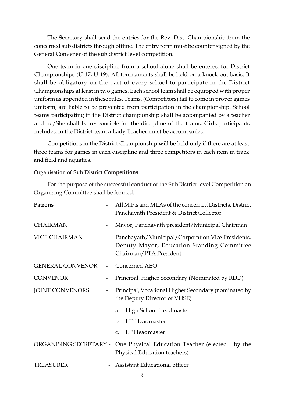The Secretary shall send the entries for the Rev. Dist. Championship from the concerned sub districts through offline. The entry form must be counter signed by the General Convener of the sub district level competition.

One team in one discipline from a school alone shall be entered for District Championships (U-17, U-19). All tournaments shall be held on a knock-out basis. It shall be obligatory on the part of every school to participate in the District Championships at least in two games. Each school team shall be equipped with proper uniform as appended in these rules. Teams, (Competitors) fail to come in proper games uniform, are liable to be prevented from participation in the championship. School teams participating in the District championship shall be accompanied by a teacher and he/She shall be responsible for the discipline of the teams. Girls participants included in the District team a Lady Teacher must be accompanied

Competitions in the District Championship will be held only if there are at least three teams for games in each discipline and three competitors in each item in track and field and aquatics.

#### **Organisation of Sub District Competitions**

For the purpose of the successful conduct of the SubDistrict level Competition an Organising Committee shall be formed.

| Patrons                 |  | All M.P.s and MLAs of the concerned Districts. District<br>Panchayath President & District Collector                      |  |  |
|-------------------------|--|---------------------------------------------------------------------------------------------------------------------------|--|--|
| <b>CHAIRMAN</b>         |  | Mayor, Panchayath president/Municipal Chairman                                                                            |  |  |
| <b>VICE CHAIRMAN</b>    |  | Panchayath/Municipal/Corporation Vice Presidents,<br>Deputy Mayor, Education Standing Committee<br>Chairman/PTA President |  |  |
| <b>GENERAL CONVENOR</b> |  | Concerned AEO                                                                                                             |  |  |
| <b>CONVENOR</b>         |  | Principal, Higher Secondary (Nominated by RDD)                                                                            |  |  |
| <b>JOINT CONVENORS</b>  |  | Principal, Vocational Higher Secondary (nominated by<br>the Deputy Director of VHSE)                                      |  |  |
|                         |  | High School Headmaster<br>a.                                                                                              |  |  |
|                         |  | <b>UP</b> Headmaster<br>$\mathbf{b}$ .                                                                                    |  |  |
|                         |  | LP Headmaster<br>$C_{\bullet}$                                                                                            |  |  |
| ORGANISING SECRETARY -  |  | One Physical Education Teacher (elected<br>by the<br>Physical Education teachers)                                         |  |  |
| <b>TREASURER</b>        |  | Assistant Educational officer                                                                                             |  |  |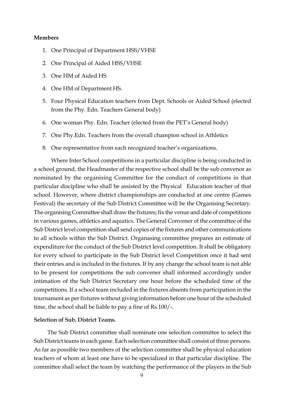#### **Members**

- 1. One Principal of Department HSS/VHSE
- 2. One Principal of Aided HSS/VHSE
- 3. One HM of Aided HS
- 4. One HM of Department HS.
- 5. Four Physical Education teachers from Dept. Schools or Aided School (elected from the Phy. Edn. Teachers General body)
- 6. One woman Phy. Edn. Teacher (elected from the PET's General body)
- 7. One Phy.Edn. Teachers from the overall champion school in Athletics
- 8. One representative from each recognized teacher's organizations.

Where Inter School competitions in a particular discipline is being conducted in a school ground, the Headmaster of the respective school shall be the sub convenor as nominated by the organising Committee for the conduct of competitions in that particular discipline who shall be assisted by the Physical Education teacher of that school. However, where district championships are conducted at one centre (Games Festival) the secretary of the Sub District Committee will be the Organising Secretary. The organising Committee shall draw the fixtures; fix the venue and date of competitions in various games, athletics and aquatics. The General Convener of the committee of the Sub District level competition shall send copies of the fixtures and other communications to all schools within the Sub District. Organasing committee prepares an estimate of expenditure for the conduct of the Sub District level competition. It shall be obligatory for every school to participate in the Sub District level Competition once it had sent their entries and is included in the fixtures. If by any change the school team is not able to be present for competitions the sub convener shall informed accordingly under intimation of the Sub District Secretary one hour before the scheduled time of the competitions. If a school team included in the fixtures absents from participation in the tournament as per fixtures without giving information before one hour of the scheduled time, the school shall be liable to pay a fine of Rs.100/-.

#### **Selection of Sub. District Teams.**

The Sub District committee shall nominate one selection committee to select the Sub District teams in each game. Each selection committee shall consist of three persons. As far as possible two members of the selection committee shall be physical education teachers of whom at least one have to be specialized in that particular discipline. The committee shall select the team by watching the performance of the players in the Sub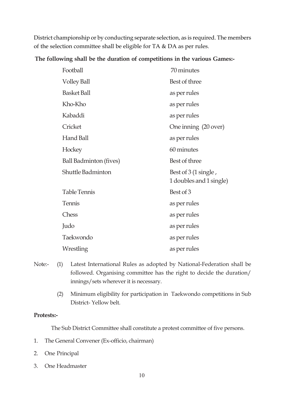District championship or by conducting separate selection, as is required. The members of the selection committee shall be eligible for TA & DA as per rules.

**The following shall be the duration of competitions in the various Games:-**

| Football                      | 70 minutes                                      |
|-------------------------------|-------------------------------------------------|
| <b>Volley Ball</b>            | Best of three                                   |
| <b>Basket Ball</b>            | as per rules                                    |
| Kho-Kho                       | as per rules                                    |
| Kabaddi                       | as per rules                                    |
| Cricket                       | One inning (20 over)                            |
| Hand Ball                     | as per rules                                    |
| Hockey                        | 60 minutes                                      |
| <b>Ball Badminton (fives)</b> | Best of three                                   |
| <b>Shuttle Badminton</b>      | Best of 3 (1 single,<br>1 doubles and 1 single) |
| <b>Table Tennis</b>           | Best of 3                                       |
| Tennis                        | as per rules                                    |
| Chess                         | as per rules                                    |
| Judo                          | as per rules                                    |
| Taekwondo                     | as per rules                                    |
| Wrestling                     | as per rules                                    |

- Note:- (1) Latest International Rules as adopted by National-Federation shall be followed. Organising committee has the right to decide the duration/ innings/sets wherever it is necessary.
	- (2) Minimum eligibility for participation in Taekwondo competitions in Sub District- Yellow belt.

## **Protests:-**

The Sub District Committee shall constitute a protest committee of five persons.

- 1. The General Convener (Ex-officio, chairman)
- 2. One Principal
- 3. One Headmaster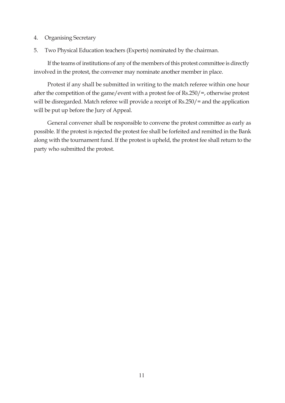- 4. Organising Secretary
- 5. Two Physical Education teachers (Experts) nominated by the chairman.

If the teams of institutions of any of the members of this protest committee is directly involved in the protest, the convener may nominate another member in place.

Protest if any shall be submitted in writing to the match referee within one hour after the competition of the game/event with a protest fee of Rs.250/=, otherwise protest will be disregarded. Match referee will provide a receipt of Rs.250/= and the application will be put up before the Jury of Appeal.

General convener shall be responsible to convene the protest committee as early as possible. If the protest is rejected the protest fee shall be forfeited and remitted in the Bank along with the tournament fund. If the protest is upheld, the protest fee shall return to the party who submitted the protest.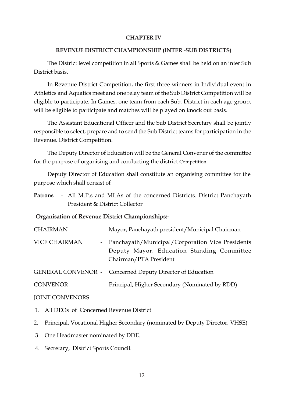#### **CHAPTER IV**

#### **REVENUE DISTRICT CHAMPIONSHIP (INTER -SUB DISTRICTS)**

The District level competition in all Sports & Games shall be held on an inter Sub District basis.

In Revenue District Competition, the first three winners in Individual event in Athletics and Aquatics meet and one relay team of the Sub District Competition will be eligible to participate. In Games, one team from each Sub. District in each age group, will be eligible to participate and matches will be played on knock out basis.

The Assistant Educational Officer and the Sub District Secretary shall be jointly responsible to select, prepare and to send the Sub District teams for participation in the Revenue. District Competition.

The Deputy Director of Education will be the General Convener of the committee for the purpose of organising and conducting the district Competition.

Deputy Director of Education shall constitute an organising committee for the purpose which shall consist of

**Patrons** - All M.P.s and MLAs of the concerned Districts. District Panchayath President & District Collector

#### **Organisation of Revenue District Championships:-**

| <b>CHAIRMAN</b>      | - Mayor, Panchayath president/Municipal Chairman                                                                           |
|----------------------|----------------------------------------------------------------------------------------------------------------------------|
| <b>VICE CHAIRMAN</b> | - Panchayath/Municipal/Corporation Vice Presidents<br>Deputy Mayor, Education Standing Committee<br>Chairman/PTA President |
|                      | <b>GENERAL CONVENOR - Concerned Deputy Director of Education</b>                                                           |
| <b>CONVENOR</b>      | - Principal, Higher Secondary (Nominated by RDD)                                                                           |

JOINT CONVENORS -

- 1. All DEOs of Concerned Revenue District
- 2. Principal, Vocational Higher Secondary (nominated by Deputy Director, VHSE)
- 3. One Headmaster nominated by DDE.
- 4. Secretary, District Sports Council.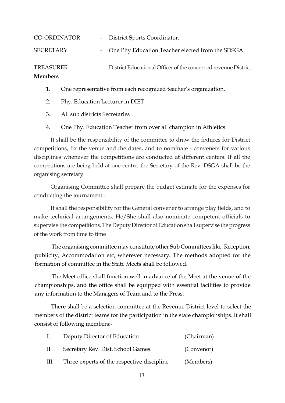| <b>Members</b>      |                                                                  |
|---------------------|------------------------------------------------------------------|
| <b>TREASURER</b>    | - District Educational Officer of the concerned revenue District |
| <b>SECRETARY</b>    | - One Phy Education Teacher elected from the SDSGA               |
| <b>CO-ORDINATOR</b> | - District Sports Coordinator.                                   |

- 1. One representative from each recognized teacher's organization.
- 2. Phy. Education Lecturer in DIET
- 3. All sub districts Secretaries
- 4. One Phy. Education Teacher from over all champion in Athletics

It shall be the responsibility of the committee to draw the fixtures for District competitions, fix the venue and the dates, and to nominate - conveners for various disciplines whenever the competitions are conducted at different centers. If all the competitions are being held at one centre, the Secretary of the Rev. DSGA shall be the organising secretary.

Organising Committee shall prepare the budget estimate for the expenses for conducting the tournament -

It shall the responsibility for the General convener to arrange play fields, and to make technical arrangements. He/She shall also nominate competent officials to supervise the competitions. The Deputy Director of Education shall supervise the progress of the work from time to time

The organising committee may constitute other Sub Committees like, Reception, publicity, Accommodation etc, wherever necessary**.** The methods adopted for the formation of committee in the State Meets shall be followed.

The Meet office shall function well in advance of the Meet at the venue of the championships, and the office shall be equipped with essential facilities to provide any information to the Managers of Team and to the Press.

There shall be a selection committee at the Revenue District level to select the members of the district teams for the participation in the state championships. It shall consist of following members:-

| $\mathbf{I}$ . | Deputy Director of Education               | (Chairman) |
|----------------|--------------------------------------------|------------|
| Ш.             | Secretary Rev. Dist. School Games.         | (Convenor) |
| Ш.             | Three experts of the respective discipline | (Members)  |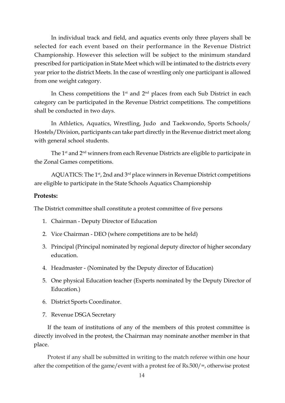In individual track and field, and aquatics events only three players shall be selected for each event based on their performance in the Revenue District Championship. However this selection will be subject to the minimum standard prescribed for participation in State Meet which will be intimated to the districts every year prior to the district Meets. In the case of wrestling only one participant is allowed from one weight category.

In Chess competitions the  $1<sup>st</sup>$  and  $2<sup>nd</sup>$  places from each Sub District in each category can be participated in the Revenue District competitions. The competitions shall be conducted in two days.

In Athletics, Aquatics, Wrestling, Judo and Taekwondo, Sports Schools/ Hostels/Division, participants can take part directly in the Revenue district meet along with general school students.

The 1<sup>st</sup> and 2<sup>nd</sup> winners from each Revenue Districts are eligible to participate in the Zonal Games competitions.

AQUATICS: The 1<sup>st</sup>, 2nd and 3<sup>rd</sup> place winners in Revenue District competitions are eligible to participate in the State Schools Aquatics Championship

#### **Protests:**

The District committee shall constitute a protest committee of five persons

- 1. Chairman Deputy Director of Education
- 2. Vice Chairman DEO (where competitions are to be held)
- 3. Principal (Principal nominated by regional deputy director of higher secondary education.
- 4. Headmaster (Nominated by the Deputy director of Education)
- 5. One physical Education teacher (Experts nominated by the Deputy Director of Education.)
- 6. District Sports Coordinator.
- 7. Revenue DSGA Secretary

If the team of institutions of any of the members of this protest committee is directly involved in the protest, the Chairman may nominate another member in that place.

Protest if any shall be submitted in writing to the match referee within one hour after the competition of the game/event with a protest fee of Rs.500/=, otherwise protest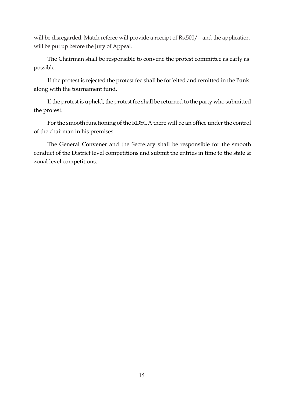will be disregarded. Match referee will provide a receipt of Rs.500/= and the application will be put up before the Jury of Appeal.

The Chairman shall be responsible to convene the protest committee as early as possible.

If the protest is rejected the protest fee shall be forfeited and remitted in the Bank along with the tournament fund.

If the protest is upheld, the protest fee shall be returned to the party who submitted the protest.

For the smooth functioning of the RDSGA there will be an office under the control of the chairman in his premises.

The General Convener and the Secretary shall be responsible for the smooth conduct of the District level competitions and submit the entries in time to the state & zonal level competitions.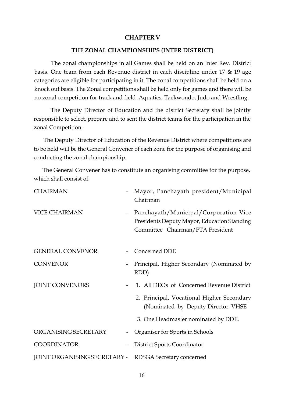#### **CHAPTER V**

#### **THE ZONAL CHAMPIONSHIPS (INTER DISTRICT)**

The zonal championships in all Games shall be held on an Inter Rev. District basis. One team from each Revenue district in each discipline under 17 & 19 age categories are eligible for participating in it. The zonal competitions shall be held on a knock out basis. The Zonal competitions shall be held only for games and there will be no zonal competition for track and field ,Aquatics, Taekwondo, Judo and Wrestling.

The Deputy Director of Education and the district Secretary shall be jointly responsible to select, prepare and to sent the district teams for the participation in the zonal Competition.

The Deputy Director of Education of the Revenue District where competitions are to be held will be the General Convener of each zone for the purpose of organising and conducting the zonal championship.

The General Convener has to constitute an organising committee for the purpose, which shall consist of:

| <b>CHAIRMAN</b>              |  | Mayor, Panchayath president/Municipal<br>Chairman                                                                        |  |  |  |
|------------------------------|--|--------------------------------------------------------------------------------------------------------------------------|--|--|--|
| <b>VICE CHAIRMAN</b>         |  | Panchayath/Municipal/Corporation Vice<br>Presidents Deputy Mayor, Education Standing<br>Committee Chairman/PTA President |  |  |  |
| <b>GENERAL CONVENOR</b>      |  | Concerned DDE                                                                                                            |  |  |  |
| <b>CONVENOR</b>              |  | Principal, Higher Secondary (Nominated by<br>RDD)                                                                        |  |  |  |
| <b>JOINT CONVENORS</b>       |  | 1. All DEOs of Concerned Revenue District                                                                                |  |  |  |
|                              |  | 2. Principal, Vocational Higher Secondary<br>(Nominated by Deputy Director, VHSE                                         |  |  |  |
|                              |  | 3. One Headmaster nominated by DDE.                                                                                      |  |  |  |
| ORGANISING SECRETARY         |  | Organiser for Sports in Schools                                                                                          |  |  |  |
| <b>COORDINATOR</b>           |  | District Sports Coordinator                                                                                              |  |  |  |
| JOINT ORGANISING SECRETARY - |  | RDSGA Secretary concerned                                                                                                |  |  |  |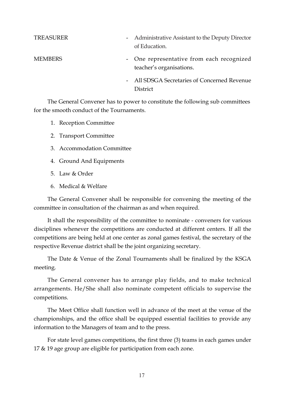| TREASURER      | - Administrative Assistant to the Deputy Director<br>of Education. |
|----------------|--------------------------------------------------------------------|
| <b>MEMBERS</b> | - One representative from each recognized                          |

teacher's organisations.

- All SDSGA Secretaries of Concerned Revenue **District** 

The General Convener has to power to constitute the following sub committees for the smooth conduct of the Tournaments.

- 1. Reception Committee
- 2. Transport Committee
- 3. Accommodation Committee
- 4. Ground And Equipments
- 5. Law & Order
- 6. Medical & Welfare

The General Convener shall be responsible for convening the meeting of the committee in consultation of the chairman as and when required.

It shall the responsibility of the committee to nominate - conveners for various disciplines whenever the competitions are conducted at different centers. If all the competitions are being held at one center as zonal games festival, the secretary of the respective Revenue district shall be the joint organizing secretary.

The Date & Venue of the Zonal Tournaments shall be finalized by the KSGA meeting.

The General convener has to arrange play fields, and to make technical arrangements. He/She shall also nominate competent officials to supervise the competitions.

The Meet Office shall function well in advance of the meet at the venue of the championships, and the office shall be equipped essential facilities to provide any information to the Managers of team and to the press.

For state level games competitions, the first three (3) teams in each games under 17 & 19 age group are eligible for participation from each zone.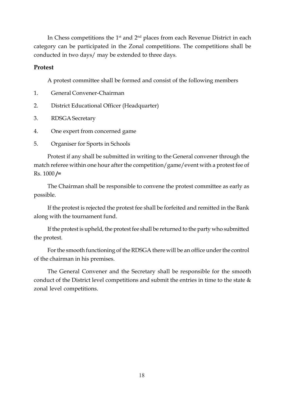In Chess competitions the  $1<sup>st</sup>$  and  $2<sup>nd</sup>$  places from each Revenue District in each category can be participated in the Zonal competitions. The competitions shall be conducted in two days/ may be extended to three days.

## **Protest**

A protest committee shall be formed and consist of the following members

- 1. General Convener-Chairman
- 2. District Educational Officer (Headquarter)
- 3. RDSGA Secretary
- 4. One expert from concerned game
- 5. Organiser for Sports in Schools

Protest if any shall be submitted in writing to the General convener through the match referee within one hour after the competition/game/event with a protest fee of Rs. 1000 **/=**

The Chairman shall be responsible to convene the protest committee as early as possible.

If the protest is rejected the protest fee shall be forfeited and remitted in the Bank along with the tournament fund.

If the protest is upheld, the protest fee shall be returned to the party who submitted the protest.

For the smooth functioning of the RDSGA there will be an office under the control of the chairman in his premises.

The General Convener and the Secretary shall be responsible for the smooth conduct of the District level competitions and submit the entries in time to the state & zonal level competitions.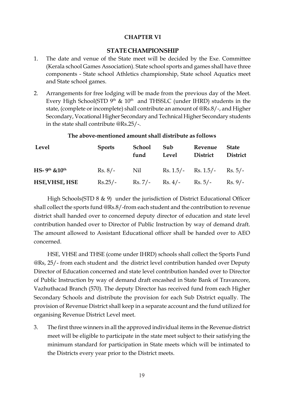#### **CHAPTER VI**

## **STATE CHAMPIONSHIP**

- 1. The date and venue of the State meet will be decided by the Exe. Committee (Kerala school Games Association). State school sports and games shall have three components - State school Athletics championship, State school Aquatics meet and State school games.
- 2. Arrangements for free lodging will be made from the previous day of the Meet. Every High School(STD  $9<sup>th</sup>$  &  $10<sup>th</sup>$  and THSSLC (under IHRD) students in the state, (complete or incomplete) shall contribute an amount of @Rs.8/-, and Higher Secondary, Vocational Higher Secondary and Technical Higher Secondary students in the state shall contribute @Rs.25/-.

#### **The above-mentioned amount shall distribute as follows**

| Level                 | <b>Sports</b> | School<br>fund | Sub<br>Level | Revenue<br>District                                | <b>State</b><br><b>District</b> |
|-----------------------|---------------|----------------|--------------|----------------------------------------------------|---------------------------------|
| $HS-9th$ & $10th$     | $Rs. 8/-$     | Nil            |              | Rs. $1.5/-$ Rs. $1.5/-$ Rs. $5/-$                  |                                 |
| <b>HSE, VHSE, HSE</b> |               |                |              | Rs. $25/-$ Rs. $7/-$ Rs. $4/-$ Rs. $5/-$ Rs. $9/-$ |                                 |

High Schools(STD 8 & 9) under the jurisdiction of District Educational Officer shall collect the sports fund @Rs.8/-from each student and the contribution to revenue district shall handed over to concerned deputy director of education and state level contribution handed over to Director of Public Instruction by way of demand draft. The amount allowed to Assistant Educational officer shall be handed over to AEO concerned.

HSE, VHSE and THSE (come under IHRD) schools shall collect the Sports Fund @Rs, 25/- from each student and the district level contribution handed over Deputy Director of Education concerned and state level contribution handed over to Director of Public Instruction by way of demand draft encashed in State Bank of Travancore, Vazhuthacad Branch (570). The deputy Director has received fund from each Higher Secondary Schools and distribute the provision for each Sub District equally. The provision of Revenue District shall keep in a separate account and the fund utilized for organising Revenue District Level meet.

3. The first three winners in all the approved individual items in the Revenue district meet will be eligible to participate in the state meet subject to their satisfying the minimum standard for participation in State meets which will be intimated to the Districts every year prior to the District meets.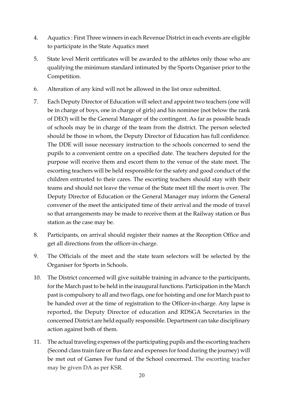- 4. Aquatics : First Three winners in each Revenue District in each events are eligible to participate in the State Aquatics meet
- 5. State level Merit certificates will be awarded to the athletes only those who are qualifying the minimum standard intimated by the Sports Organiser prior to the Competition.
- 6. Alteration of any kind will not be allowed in the list once submitted.
- 7. Each Deputy Director of Education will select and appoint two teachers (one will be in charge of boys, one in charge of girls) and his nominee (not below the rank of DEO) will be the General Manager of the contingent. As far as possible heads of schools may be in charge of the team from the district. The person selected should be those in whom, the Deputy Director of Education has full confidence. The DDE will issue necessary instruction to the schools concerned to send the pupils to a convenient centre on a specified date. The teachers deputed for the purpose will receive them and escort them to the venue of the state meet. The escorting teachers will be held responsible for the safety and good conduct of the children entrusted to their cares. The escorting teachers should stay with their teams and should not leave the venue of the State meet till the meet is over. The Deputy Director of Education or the General Manager may inform the General convener of the meet the anticipated time of their arrival and the mode of travel so that arrangements may be made to receive them at the Railway station or Bus station as the case may be.
- 8. Participants, on arrival should register their names at the Reception Office and get all directions from the officer-in-charge.
- 9. The Officials of the meet and the state team selectors will be selected by the Organiser for Sports in Schools.
- 10. The District concerned will give suitable training in advance to the participants, for the March past to be held in the inaugural functions. Participation in the March past is compulsory to all and two flags, one for hoisting and one for March past to be handed over at the time of registration to the Officer-in-charge. Any lapse is reported, the Deputy Director of education and RDSGA Secretaries in the concerned District are held equally responsible. Department can take disciplinary action against both of them.
- 11. The actual traveling expenses of the participating pupils and the escorting teachers (Second class train fare or Bus fare and expenses for food during the journey) will be met out of Games Fee fund of the School concerned. The escorting teacher may be given DA as per KSR.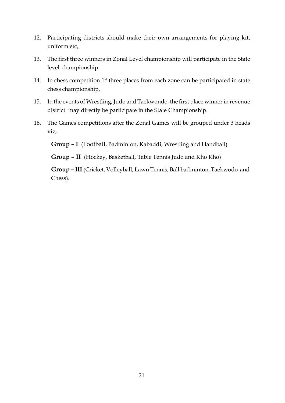- 12. Participating districts should make their own arrangements for playing kit, uniform etc,
- 13. The first three winners in Zonal Level championship will participate in the State level championship.
- 14. In chess competition  $1<sup>st</sup>$  three places from each zone can be participated in state chess championship.
- 15. In the events of Wrestling, Judo and Taekwondo, the first place winner in revenue district may directly be participate in the State Championship.
- 16. The Games competitions after the Zonal Games will be grouped under 3 heads viz,

**Group – I** (Football, Badminton, Kabaddi, Wrestling and Handball).

**Group – II** (Hockey, Basketball, Table Tennis Judo and Kho Kho)

**Group – III** (Cricket, Volleyball, Lawn Tennis, Ball badminton, Taekwodo and Chess).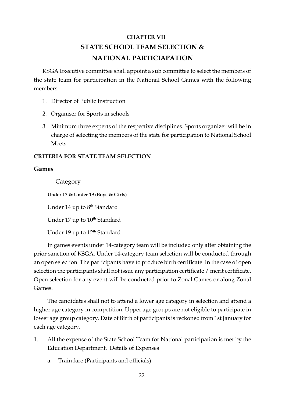# **CHAPTER VII STATE SCHOOL TEAM SELECTION & NATIONAL PARTICIAPATION**

KSGA Executive committee shall appoint a sub committee to select the members of the state team for participation in the National School Games with the following members

- 1. Director of Public Instruction
- 2. Organiser for Sports in schools
- 3. Minimum three experts of the respective disciplines. Sports organizer will be in charge of selecting the members of the state for participation to National School Meets.

## **CRITERIA FOR STATE TEAM SELECTION**

#### **Games**

Category

**Under 17 & Under 19 (Boys & Girls)**

Under 14 up to 8<sup>th</sup> Standard

Under 17 up to 10<sup>th</sup> Standard

Under 19 up to 12<sup>th</sup> Standard

In games events under 14-category team will be included only after obtaining the prior sanction of KSGA. Under 14-category team selection will be conducted through an open selection. The participants have to produce birth certificate. In the case of open selection the participants shall not issue any participation certificate / merit certificate. Open selection for any event will be conducted prior to Zonal Games or along Zonal Games.

The candidates shall not to attend a lower age category in selection and attend a higher age category in competition. Upper age groups are not eligible to participate in lower age group category. Date of Birth of participants is reckoned from 1st January for each age category.

- 1. All the expense of the State School Team for National participation is met by the Education Department. Details of Expenses
	- a. Train fare (Participants and officials)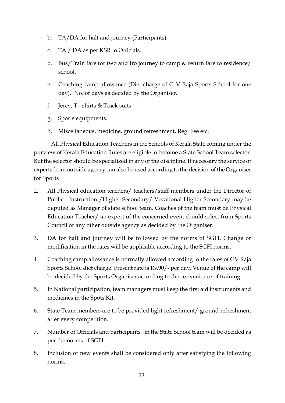- b. TA/DA for halt and journey (Participants)
- c. TA / DA as per KSR to Officials.
- d. Bus/Train fare for two and fro journey to camp & return fare to residence/ school.
- e. Coaching camp allowance (Diet charge of G V Raja Sports School for one day). No. of days as decided by the Organiser.
- f. Jercy,  $T$  shirts & Track suits
- g. Sports equipments.
- h. Miscellaneous, medicine, ground refreshment, Reg. Fee etc.

All Physical Education Teachers in the Schools of Kerala State coming under the purview of Kerala Education Rules are eligible to become a State School Team selector. But the selector should be specialized in any of the discipline. If necessary the service of experts from out side agency can also be used according to the decision of the Organiser for Sports

- 2. All Physical education teachers/ teachers/staff members under the Director of Public Instruction /Higher Secondary/ Vocational Higher Secondary may be deputed as Manager of state school team. Coaches of the team must be Physical Education Teacher/ an expert of the concerned event should select from Sports Council or any other outside agency as decided by the Organiser.
- 3. DA for halt and journey will be followed by the norms of SGFI. Change or modification in the rates will be applicable according to the SGFI norms.
- 4. Coaching camp allowance is normally allowed according to the rates of GV Raja Sports School diet charge. Present rate is Rs.90/- per day. Venue of the camp will be decided by the Sports Organiser according to the convenience of training.
- 5. In National participation, team managers must keep the first aid instruments and medicines in the Spots Kit.
- 6. State Team members are to be provided light refreshment/ ground refreshment after every competition.
- 7. Number of Officials and participants in the State School team will be decided as per the norms of SGFI.
- 8. Inclusion of new events shall be considered only after satisfying the following norms.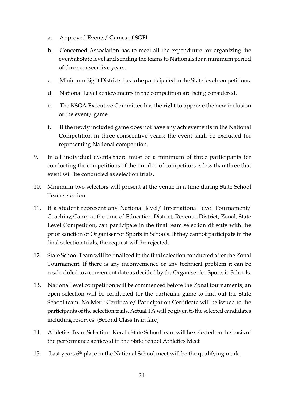- a. Approved Events/ Games of SGFI
- b. Concerned Association has to meet all the expenditure for organizing the event at State level and sending the teams to Nationals for a minimum period of three consecutive years.
- c. Minimum Eight Districts has to be participated in the State level competitions.
- d. National Level achievements in the competition are being considered.
- e. The KSGA Executive Committee has the right to approve the new inclusion of the event/ game.
- f. If the newly included game does not have any achievements in the National Competition in three consecutive years; the event shall be excluded for representing National competition.
- 9. In all individual events there must be a minimum of three participants for conducting the competitions of the number of competitors is less than three that event will be conducted as selection trials.
- 10. Minimum two selectors will present at the venue in a time during State School Team selection.
- 11. If a student represent any National level/ International level Tournament/ Coaching Camp at the time of Education District, Revenue District, Zonal, State Level Competition, can participate in the final team selection directly with the prior sanction of Organiser for Sports in Schools. If they cannot participate in the final selection trials, the request will be rejected.
- 12. State School Team will be finalized in the final selection conducted after the Zonal Tournament. If there is any inconvenience or any technical problem it can be rescheduled to a convenient date as decided by the Organiser for Sports in Schools.
- 13. National level competition will be commenced before the Zonal tournaments; an open selection will be conducted for the particular game to find out the State School team. No Merit Certificate/ Participation Certificate will be issued to the participants of the selection trails. Actual TA will be given to the selected candidates including reserves. (Second Class train fare)
- 14. Athletics Team Selection- Kerala State School team will be selected on the basis of the performance achieved in the State School Athletics Meet
- 15. Last years  $6<sup>th</sup>$  place in the National School meet will be the qualifying mark.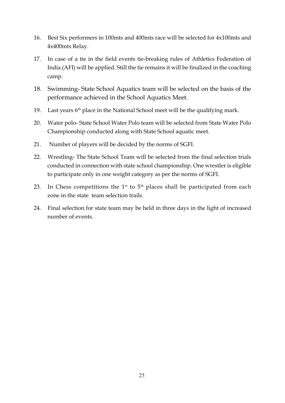- 16. Best Six performers in 100mts and 400mts race will be selected for 4x100mts and 4x400mts Relay.
- 17. In case of a tie in the field events tie-breaking rules of Athletics Federation of India (AFI) will be applied. Still the tie remains it will be finalized in the coaching camp.
- 18. Swimming- State School Aquatics team will be selected on the basis of the performance achieved in the School Aquatics Meet.
- 19. Last years  $6<sup>th</sup>$  place in the National School meet will be the qualifying mark.
- 20. Water polo- State School Water Polo team will be selected from State Water Polo Championship conducted along with State School aquatic meet.
- 21. Number of players will be decided by the norms of SGFI.
- 22. Wrestling- The State School Team will be selected from the final selection trials conducted in connection with state school championship. One wrestler is eligible to participate only in one weight category as per the norms of SGFI.
- 23. In Chess competitions the  $1<sup>st</sup>$  to  $5<sup>th</sup>$  places shall be participated from each zone in the state team selection trails.
- 24. Final selection for state team may be held in three days in the light of increased number of events.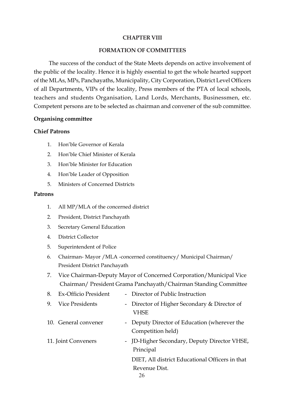#### **CHAPTER VIII**

#### **FORMATION OF COMMITTEES**

The success of the conduct of the State Meets depends on active involvement of the public of the locality. Hence it is highly essential to get the whole hearted support of the MLAs, MPs, Panchayaths, Municipality, City Corporation, District Level Officers of all Departments, VIPs of the locality, Press members of the PTA of local schools, teachers and students Organisation, Land Lords, Merchants, Businessmen, etc. Competent persons are to be selected as chairman and convener of the sub committee.

#### **Organising committee**

#### **Chief Patrons**

- 1. Hon'ble Governor of Kerala
- 2. Hon'ble Chief Minister of Kerala
- 3. Hon'ble Minister for Education
- 4. Hon'ble Leader of Opposition
- 5. Ministers of Concerned Districts

#### **Patrons**

- 1. All MP/MLA of the concerned district
- 2. President, District Panchayath
- 3. Secretary General Education
- 4. District Collector
- 5. Superintendent of Police
- 6. Chairman- Mayor /MLA -concerned constituency/ Municipal Chairman/ President District Panchayath
- 7. Vice Chairman-Deputy Mayor of Concerned Corporation/Municipal Vice Chairman/ President Grama Panchayath/Chairman Standing Committee

| 8. | Ex-Officio President | - Director of Public Instruction                                  |
|----|----------------------|-------------------------------------------------------------------|
| 9. | Vice Presidents      | - Director of Higher Secondary & Director of<br>VHSE              |
|    | 10. General convener | - Deputy Director of Education (wherever the<br>Competition held) |
|    | 11. Joint Conveners  | - JD-Higher Secondary, Deputy Director VHSE,<br>Principal         |
|    |                      | DIET, All district Educational Officers in that                   |
|    |                      | Revenue Dist.<br>26.                                              |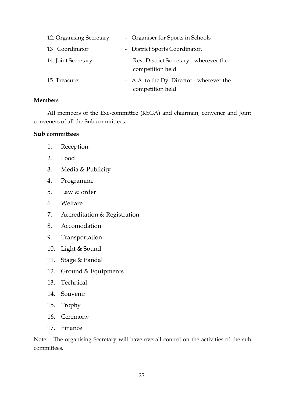| 12. Organising Secretary | - Organiser for Sports in Schools                            |
|--------------------------|--------------------------------------------------------------|
| 13. Coordinator          | - District Sports Coordinator.                               |
| 14. Joint Secretary      | - Rev. District Secretary - wherever the<br>competition held |
| 15. Treasurer            | - A.A. to the Dy. Director - wherever the                    |
|                          | competition held                                             |

#### **Member**s

All members of the Exe-committee (KSGA) and chairman, convener and Joint conveners of all the Sub committees.

## **Sub committees**

- 1. Reception
- 2. Food
- 3. Media & Publicity
- 4. Programme
- 5. Law & order
- 6. Welfare
- 7. Accreditation & Registration
- 8. Accomodation
- 9. Transportation
- 10. Light & Sound
- 11. Stage & Pandal
- 12. Ground & Equipments
- 13. Technical
- 14. Souvenir
- 15. Trophy
- 16. Ceremony
- 17. Finance

Note: - The organising Secretary will have overall control on the activities of the sub committees.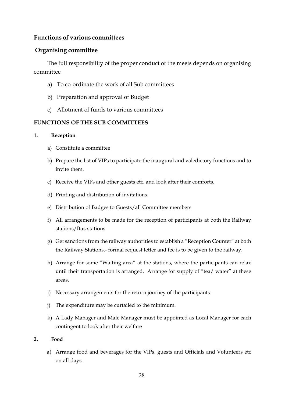## **Functions of various committees**

# **Organising committee**

The full responsibility of the proper conduct of the meets depends on organising committee

- a) To co-ordinate the work of all Sub committees
- b) Preparation and approval of Budget
- c) Allotment of funds to various committees

# **FUNCTIONS OF THE SUB COMMITTEES**

#### **1. Reception**

- a) Constitute a committee
- b) Prepare the list of VIPs to participate the inaugural and valedictory functions and to invite them.
- c) Receive the VIPs and other guests etc. and look after their comforts.
- d) Printing and distribution of invitations.
- e) Distribution of Badges to Guests/all Committee members
- f) All arrangements to be made for the reception of participants at both the Railway stations/Bus stations
- g) Get sanctions from the railway authorities to establish a "Reception Counter" at both the Railway Stations.- formal request letter and fee is to be given to the railway.
- h) Arrange for some "Waiting area" at the stations, where the participants can relax until their transportation is arranged. Arrange for supply of "tea/ water" at these areas.
- i) Necessary arrangements for the return journey of the participants.
- j) The expenditure may be curtailed to the minimum.
- k) A Lady Manager and Male Manager must be appointed as Local Manager for each contingent to look after their welfare

#### **2. Food**

a) Arrange food and beverages for the VIPs, guests and Officials and Volunteers etc on all days.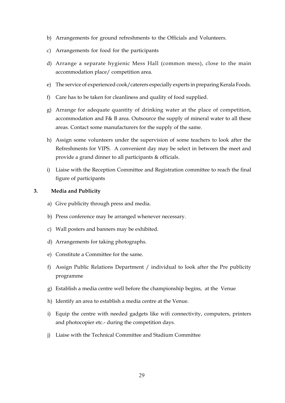- b) Arrangements for ground refreshments to the Officials and Volunteers.
- c) Arrangements for food for the participants
- d) Arrange a separate hygienic Mess Hall (common mess), close to the main accommodation place/ competition area.
- e) The service of experienced cook/caterers especially experts in preparing Kerala Foods.
- f) Care has to be taken for cleanliness and quality of food supplied.
- g) Arrange for adequate quantity of drinking water at the place of competition, accommodation and F& B area. Outsource the supply of mineral water to all these areas. Contact some manufacturers for the supply of the same.
- h) Assign some volunteers under the supervision of some teachers to look after the Refreshments for VIPS. A convenient day may be select in between the meet and provide a grand dinner to all participants & officials.
- i) Liaise with the Reception Committee and Registration committee to reach the final figure of participants

#### **3. Media and Publicity**

- a) Give publicity through press and media.
- b) Press conference may be arranged whenever necessary.
- c) Wall posters and banners may be exhibited.
- d) Arrangements for taking photographs.
- e) Constitute a Committee for the same.
- f) Assign Public Relations Department / individual to look after the Pre publicity programme
- g) Establish a media centre well before the championship begins, at the Venue
- h) Identify an area to establish a media centre at the Venue.
- i) Equip the centre with needed gadgets like wifi connectivity, computers, printers and photocopier etc.- during the competition days.
- j) Liaise with the Technical Committee and Stadium Committee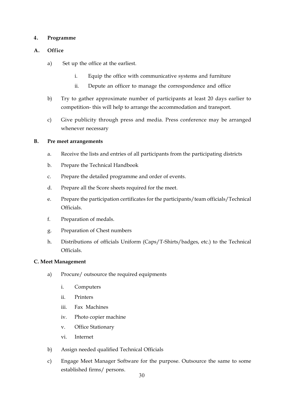#### **4. Programme**

#### **A. Office**

- a) Set up the office at the earliest.
	- i. Equip the office with communicative systems and furniture
	- ii. Depute an officer to manage the correspondence and office
- b) Try to gather approximate number of participants at least 20 days earlier to competition- this will help to arrange the accommodation and transport.
- c) Give publicity through press and media. Press conference may be arranged whenever necessary

#### **B. Pre meet arrangements**

- a. Receive the lists and entries of all participants from the participating districts
- b. Prepare the Technical Handbook
- c. Prepare the detailed programme and order of events.
- d. Prepare all the Score sheets required for the meet.
- e. Prepare the participation certificates for the participants/team officials/Technical Officials.
- f. Preparation of medals.
- g. Preparation of Chest numbers
- h. Distributions of officials Uniform (Caps/T-Shirts/badges, etc.) to the Technical Officials.

#### **C. Meet Management**

- a) Procure/ outsource the required equipments
	- i. Computers
	- ii. Printers
	- iii. Fax Machines
	- iv. Photo copier machine
	- v. Office Stationary
	- vi. Internet
- b) Assign needed qualified Technical Officials
- c) Engage Meet Manager Software for the purpose. Outsource the same to some established firms/ persons.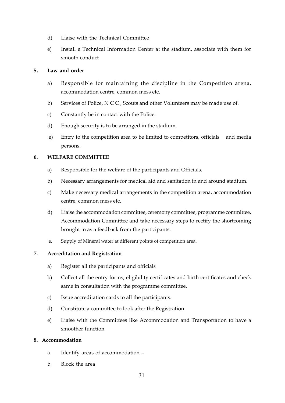- d) Liaise with the Technical Committee
- e) Install a Technical Information Center at the stadium, associate with them for smooth conduct

#### **5. Law and order**

- a) Responsible for maintaining the discipline in the Competition arena, accommodation centre, common mess etc.
- b) Services of Police, N C C , Scouts and other Volunteers may be made use of.
- c) Constantly be in contact with the Police.
- d) Enough security is to be arranged in the stadium.
- e) Entry to the competition area to be limited to competitors, officials and media persons.

#### **6. WELFARE COMMITTEE**

- a) Responsible for the welfare of the participants and Officials.
- b) Necessary arrangements for medical aid and sanitation in and around stadium.
- c) Make necessary medical arrangements in the competition arena, accommodation centre, common mess etc.
- d) Liaise the accommodation committee, ceremony committee, programme committee, Accommodation Committee and take necessary steps to rectify the shortcoming brought in as a feedback from the participants.
- e**.** Supply of Mineral water at different points of competition area.

#### **7. Accreditation and Registration**

- a) Register all the participants and officials
- b) Collect all the entry forms, eligibility certificates and birth certificates and check same in consultation with the programme committee.
- c) Issue accreditation cards to all the participants.
- d) Constitute a committee to look after the Registration
- e) Liaise with the Committees like Accommodation and Transportation to have a smoother function

#### **8. Accommodation**

- a. Identify areas of accommodation –
- b. Block the area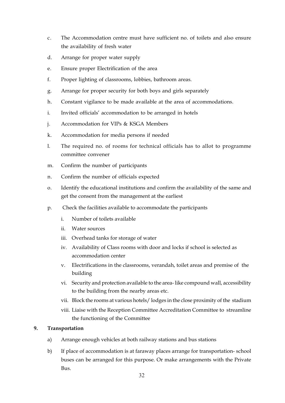- c. The Accommodation centre must have sufficient no. of toilets and also ensure the availability of fresh water
- d. Arrange for proper water supply
- e. Ensure proper Electrification of the area
- f. Proper lighting of classrooms, lobbies, bathroom areas.
- g. Arrange for proper security for both boys and girls separately
- h. Constant vigilance to be made available at the area of accommodations.
- i. Invited officials' accommodation to be arranged in hotels
- j. Accommodation for VIPs & KSGA Members
- k. Accommodation for media persons if needed
- l. The required no. of rooms for technical officials has to allot to programme committee convener
- m. Confirm the number of participants
- n. Confirm the number of officials expected
- o. Identify the educational institutions and confirm the availability of the same and get the consent from the management at the earliest
- p. Check the facilities available to accommodate the participants
	- i. Number of toilets available
	- ii. Water sources
	- iii. Overhead tanks for storage of water
	- iv. Availability of Class rooms with door and locks if school is selected as accommodation center
	- v. Electrifications in the classrooms, verandah, toilet areas and premise of the building
	- vi. Security and protection available to the area- like compound wall, accessibility to the building from the nearby areas etc.
	- vii. Block the rooms at various hotels/ lodges in the close proximity of the stadium
	- viii. Liaise with the Reception Committee Accreditation Committee to streamline the functioning of the Committee

#### **9. Transportation**

- a) Arrange enough vehicles at both railway stations and bus stations
- b) If place of accommodation is at faraway places arrange for transportation- school buses can be arranged for this purpose. Or make arrangements with the Private Bus.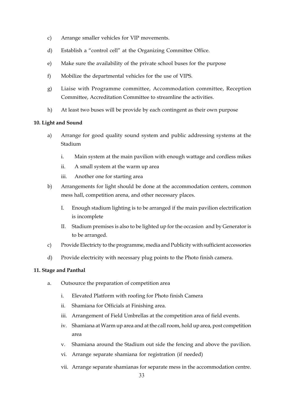- c) Arrange smaller vehicles for VIP movements.
- d) Establish a "control cell" at the Organizing Committee Office.
- e) Make sure the availability of the private school buses for the purpose
- f) Mobilize the departmental vehicles for the use of VIPS.
- g) Liaise with Programme committee, Accommodation committee, Reception Committee, Accreditation Committee to streamline the activities.
- h) At least two buses will be provide by each contingent as their own purpose

#### **10. Light and Sound**

- a) Arrange for good quality sound system and public addressing systems at the Stadium
	- i. Main system at the main pavilion with enough wattage and cordless mikes
	- ii. A small system at the warm up area
	- iii. Another one for starting area
- b) Arrangements for light should be done at the accommodation centers, common mess hall, competition arena, and other necessary places.
	- I. Enough stadium lighting is to be arranged if the main pavilion electrification is incomplete
	- II. Stadium premises is also to be lighted up for the occasion and by Generator is to be arranged.
- c) Provide Electricty to the programme, media and Publicity with sufficient accessories
- d) Provide electricity with necessary plug points to the Photo finish camera.

#### **11. Stage and Panthal**

- a. Outsource the preparation of competition area
	- i. Elevated Platform with roofing for Photo finish Camera
	- ii. Shamiana for Officials at Finishing area.
	- iii. Arrangement of Field Umbrellas at the competition area of field events.
	- iv. Shamiana at Warm up area and at the call room, hold up area, post competition area
	- v. Shamiana around the Stadium out side the fencing and above the pavilion.
	- vi. Arrange separate shamiana for registration (if needed)
	- vii. Arrange separate shamianas for separate mess in the accommodation centre.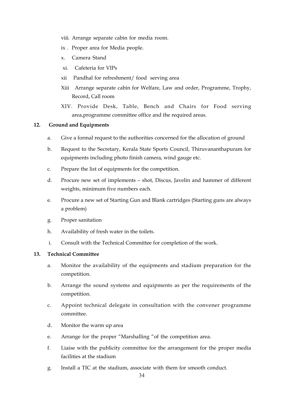- viii. Arrange separate cabin for media room.
- ix . Proper area for Media people.
- x. Camera Stand
- xi. Cafeteria for VIPs
- xii Pandhal for refreshment/ food serving area
- Xiii Arrange separate cabin for Welfare, Law and order, Programme, Trophy, Record, Call room
- XIV. Provide Desk, Table, Bench and Chairs for Food serving area,programme committee office and the required areas.

#### **12. Ground and Equipments**

- a. Give a formal request to the authorities concerned for the allocation of ground
- b. Request to the Secretary, Kerala State Sports Council, Thiruvananthapuram for equipments including photo finish camera, wind gauge etc.
- c. Prepare the list of equipments for the competition.
- d. Procure new set of implements shot, Discus, Javelin and hammer of different weights, minimum five numbers each.
- e. Procure a new set of Starting Gun and Blank cartridges (Starting guns are always a problem)
- g. Proper sanitation
- h. Availability of fresh water in the toilets.
- i. Consult with the Technical Committee for completion of the work.

#### **13. Technical Committee**

- a. Monitor the availability of the equipments and stadium preparation for the competition.
- b. Arrange the sound systems and equipments as per the requirements of the competition.
- c. Appoint technical delegate in consultation with the convener programme committee.
- d. Monitor the warm up area
- e. Arrange for the proper "Marshalling "of the competition area.
- f. Liaise with the publicity committee for the arrangement for the proper media facilities at the stadium
- g. Install a TIC at the stadium, associate with them for smooth conduct.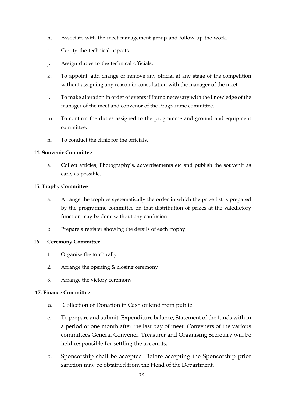- h. Associate with the meet management group and follow up the work.
- i. Certify the technical aspects.
- j. Assign duties to the technical officials.
- k. To appoint, add change or remove any official at any stage of the competition without assigning any reason in consultation with the manager of the meet.
- l. To make alteration in order of events if found necessary with the knowledge of the manager of the meet and convenor of the Programme committee.
- m. To confirm the duties assigned to the programme and ground and equipment committee.
- n. To conduct the clinic for the officials.

#### **14. Souvenir Committee**

a. Collect articles, Photography's, advertisements etc and publish the souvenir as early as possible.

#### **15. Trophy Committee**

- a. Arrange the trophies systematically the order in which the prize list is prepared by the programme committee on that distribution of prizes at the valedictory function may be done without any confusion.
- b. Prepare a register showing the details of each trophy.

#### **16. Ceremony Committee**

- 1. Organise the torch rally
- 2. Arrange the opening & closing ceremony
- 3. Arrange the victory ceremony

#### **17. Finance Committee**

- a. Collection of Donation in Cash or kind from public
- c. To prepare and submit, Expenditure balance, Statement of the funds with in a period of one month after the last day of meet. Conveners of the various committees General Convener, Treasurer and Organising Secretary will be held responsible for settling the accounts.
- d. Sponsorship shall be accepted. Before accepting the Sponsorship prior sanction may be obtained from the Head of the Department.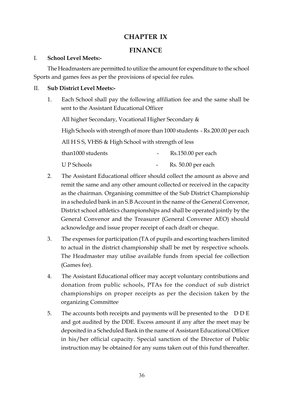# **CHAPTER IX**

# **FINANCE**

## I. **School Level Meets:-**

The Headmasters are permitted to utilize the amount for expenditure to the school Sports and games fees as per the provisions of special fee rules.

## II. **Sub District Level Meets:-**

1. Each School shall pay the following affiliation fee and the same shall be sent to the Assistant Educational Officer

All higher Secondary, Vocational Higher Secondary &

High Schools with strength of more than 1000 students - Rs.200.00 per each

All H S S, VHSS & High School with strength of less

| than1000 students | Rs.150.00 per each |
|-------------------|--------------------|
| <b>UP</b> Schools | Rs. 50.00 per each |

- 2. The Assistant Educational officer should collect the amount as above and remit the same and any other amount collected or received in the capacity as the chairman. Organising committee of the Sub District Championship in a scheduled bank in an S.B Account in the name of the General Convenor, District school athletics championships and shall be operated jointly by the General Convenor and the Treasurer (General Convener AEO) should acknowledge and issue proper receipt of each draft or cheque.
- 3. The expenses for participation (TA of pupils and escorting teachers limited to actual in the district championship shall be met by respective schools. The Headmaster may utilise available funds from special fee collection (Games fee).
- 4. The Assistant Educational officer may accept voluntary contributions and donation from public schools, PTAs for the conduct of sub district championships on proper receipts as per the decision taken by the organizing Committee
- 5. The accounts both receipts and payments will be presented to the D D E and got audited by the DDE. Excess amount if any after the meet may be deposited in a Scheduled Bank in the name of Assistant Educational Officer in his/her official capacity. Special sanction of the Director of Public instruction may be obtained for any sums taken out of this fund thereafter.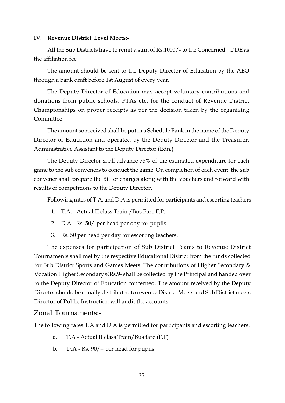#### **IV. Revenue District Level Meets:-**

All the Sub Districts have to remit a sum of Rs.1000/- to the Concerned DDE as the affiliation fee .

The amount should be sent to the Deputy Director of Education by the AEO through a bank draft before 1st August of every year.

The Deputy Director of Education may accept voluntary contributions and donations from public schools, PTAs etc. for the conduct of Revenue District Championships on proper receipts as per the decision taken by the organizing Committee

The amount so received shall be put in a Schedule Bank in the name of the Deputy Director of Education and operated by the Deputy Director and the Treasurer, Administrative Assistant to the Deputy Director (Edn.).

The Deputy Director shall advance 75% of the estimated expenditure for each game to the sub conveners to conduct the game. On completion of each event, the sub convener shall prepare the Bill of charges along with the vouchers and forward with results of competitions to the Deputy Director.

Following rates of T.A. and D.A is permitted for participants and escorting teachers

- 1. T.A. Actual II class Train /Bus Fare F.P.
- 2. D.A Rs. 50/-per head per day for pupils
- 3. Rs. 50 per head per day for escorting teachers.

The expenses for participation of Sub District Teams to Revenue District Tournaments shall met by the respective Educational District from the funds collected for Sub District Sports and Games Meets. The contributions of Higher Secondary & Vocation Higher Secondary @Rs.9- shall be collected by the Principal and handed over to the Deputy Director of Education concerned. The amount received by the Deputy Director should be equally distributed to revenue District Meets and Sub District meets Director of Public Instruction will audit the accounts

## Zonal Tournaments:-

The following rates T.A and D.A is permitted for participants and escorting teachers.

- a. T.A Actual II class Train/Bus fare (F.P)
- b. D.A Rs.  $90/$  = per head for pupils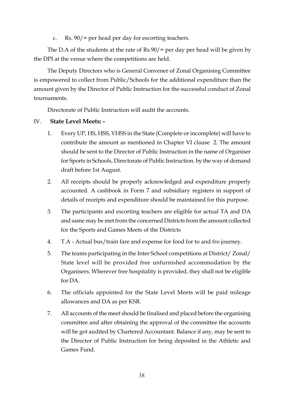c. Rs. 90/= per head per day for escorting teachers.

The D.A of the students at the rate of Rs.90/= per day per head will be given by the DPI at the venue where the competitions are held.

The Deputy Directors who is General Convener of Zonal Organising Committee is empowered to collect from Public/Schools for the additional expenditure than the amount given by the Director of Public Instruction for the successful conduct of Zonal tournaments.

Directorate of Public Instruction will audit the accounts.

# IV. **State Level Meets: -**

- 1. Every UP, HS, HSS, VHSS in the State (Complete or incomplete) will have to contribute the amount as mentioned in Chapter VI clause 2. The amount should be sent to the Director of Public Instruction in the name of Organiser for Sports in Schools, Directorate of Public Instruction. by the way of demand draft before 1st August.
- 2. All receipts should be properly acknowledged and expenditure properly accounted. A cashbook in Form 7 and subsidiary registers in support of details of receipts and expenditure should be maintained for this purpose.
- 3. The participants and escorting teachers are eligible for actual TA and DA and same may be met from the concerned Districts from the amount collected for the Sports and Games Meets of the Districts
- 4. T.A Actual bus/train fare and expense for food for to and fro journey.
- 5. The teams participating in the Inter School competitions at District/ Zonal/ State level will be provided free unfurnished accommodation by the Organisers. Wherever free hospitality is provided, they shall not be eligible for DA.
- 6. The officials appointed for the State Level Meets will be paid mileage allowances and DA as per KSR.
- 7. All accounts of the meet should be finalised and placed before the organising committee and after obtaining the approval of the committee the accounts will be got audited by Chartered Accountant. Balance if any, may be sent to the Director of Public Instruction for being deposited in the Athletic and Games Fund.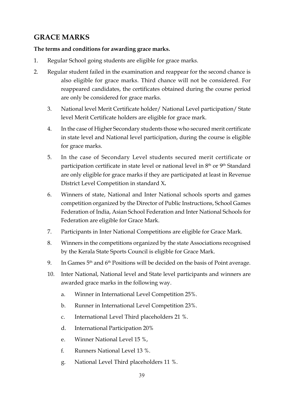# **GRACE MARKS**

## **The terms and conditions for awarding grace marks.**

- 1. Regular School going students are eligible for grace marks.
- 2. Regular student failed in the examination and reappear for the second chance is also eligible for grace marks. Third chance will not be considered. For reappeared candidates, the certificates obtained during the course period are only be considered for grace marks.
	- 3. National level Merit Certificate holder/ National Level participation/ State level Merit Certificate holders are eligible for grace mark.
	- 4. In the case of Higher Secondary students those who secured merit certificate in state level and National level participation, during the course is eligible for grace marks.
	- 5. In the case of Secondary Level students secured merit certificate or participation certificate in state level or national level in 8<sup>th</sup> or 9<sup>th</sup> Standard are only eligible for grace marks if they are participated at least in Revenue District Level Competition in standard X**.**
	- 6. Winners of state, National and Inter National schools sports and games competition organized by the Director of Public Instructions, School Games Federation of India, Asian School Federation and Inter National Schools for Federation are eligible for Grace Mark.
	- 7. Participants in Inter National Competitions are eligible for Grace Mark.
	- 8. Winners in the competitions organized by the state Associations recognised by the Kerala State Sports Council is eligible for Grace Mark.
	- 9. In Games  $5<sup>th</sup>$  and  $6<sup>th</sup>$  Positions will be decided on the basis of Point average.
	- 10. Inter National, National level and State level participants and winners are awarded grace marks in the following way.
		- a. Winner in International Level Competition 25%.
		- b. Runner in International Level Competition 23%.
		- c. International Level Third placeholders 21 %.
		- d. International Participation 20%
		- e. Winner National Level 15 %,
		- f. Runners National Level 13 %.
		- g. National Level Third placeholders 11 %.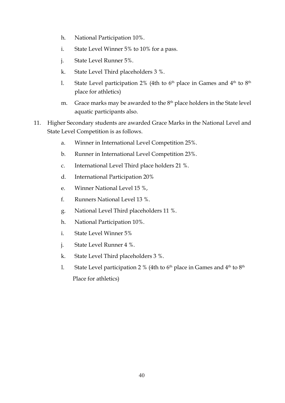- h. National Participation 10%.
- i. State Level Winner 5% to 10% for a pass.
- j. State Level Runner 5%.
- k. State Level Third placeholders 3 %.
- l. State Level participation 2% (4th to  $6<sup>th</sup>$  place in Games and  $4<sup>th</sup>$  to  $8<sup>th</sup>$ place for athletics)
- m. Grace marks may be awarded to the  $8<sup>th</sup>$  place holders in the State level aquatic participants also.
- 11. Higher Secondary students are awarded Grace Marks in the National Level and State Level Competition is as follows.
	- a. Winner in International Level Competition 25%.
	- b. Runner in International Level Competition 23%.
	- c. International Level Third place holders 21 %.
	- d. International Participation 20%
	- e. Winner National Level 15 %,
	- f. Runners National Level 13 %.
	- g. National Level Third placeholders 11 %.
	- h. National Participation 10%.
	- i. State Level Winner 5%
	- j. State Level Runner 4 %.
	- k. State Level Third placeholders 3 %.
	- l. State Level participation 2 % (4th to  $6<sup>th</sup>$  place in Games and  $4<sup>th</sup>$  to  $8<sup>th</sup>$ Place for athletics)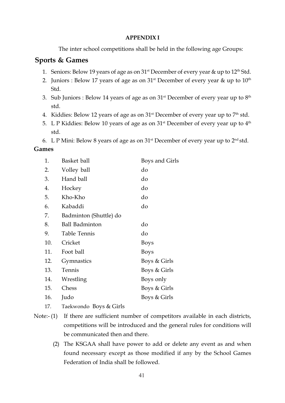## **APPENDIX I**

The inter school competitions shall be held in the following age Groups:

# **Sports & Games**

- 1. Seniors: Below 19 years of age as on 31<sup>st</sup> December of every year & up to 12<sup>th</sup> Std.
- 2. Juniors : Below 17 years of age as on  $31<sup>st</sup>$  December of every year & up to  $10<sup>th</sup>$ Std.
- 3. Sub Juniors : Below 14 years of age as on  $31<sup>st</sup>$  December of every year up to  $8<sup>th</sup>$ std.
- 4. Kiddies: Below 12 years of age as on  $31<sup>st</sup>$  December of every year up to  $7<sup>th</sup>$  std.
- 5. L P Kiddies: Below 10 years of age as on  $31<sup>st</sup>$  December of every year up to  $4<sup>th</sup>$ std.
- 6. L P Mini: Below 8 years of age as on  $31<sup>st</sup>$  December of every year up to  $2<sup>nd</sup>$  std.

# **Games**

| 1.  | Basket ball            | Boys and Girls |
|-----|------------------------|----------------|
| 2.  | Volley ball            | do             |
| 3.  | Hand ball              | do             |
| 4.  | Hockey                 | do             |
| 5.  | Kho-Kho                | do             |
| 6.  | Kabaddi                | do             |
| 7.  | Badminton (Shuttle) do |                |
| 8.  | <b>Ball Badminton</b>  | do             |
| 9.  | Table Tennis           | do             |
| 10. | Cricket                | Boys           |
| 11. | Foot ball              | <b>Boys</b>    |
| 12. | Gymnastics             | Boys & Girls   |
| 13. | Tennis                 | Boys & Girls   |
| 14. | Wrestling              | Boys only      |
| 15. | Chess                  | Boys & Girls   |
| 16. | Judo                   | Boys & Girls   |
|     |                        |                |

- 17. Taekwondo Boys & Girls
- Note:- (1) If there are sufficient number of competitors available in each districts, competitions will be introduced and the general rules for conditions will be communicated then and there.
	- (2) The KSGAA shall have power to add or delete any event as and when found necessary except as those modified if any by the School Games Federation of India shall be followed.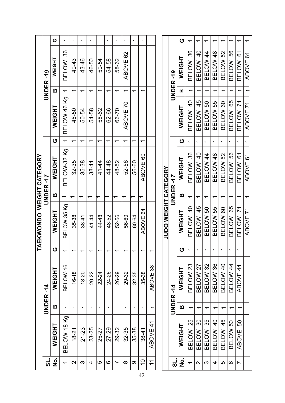|                           |           | ပ                  | ᠆                        | $\overline{\phantom{0}}$ | $\overline{\phantom{0}}$ | $\overline{\phantom{0}}$ | $\overline{\phantom{0}}$ | $\overline{\phantom{0}}$ | $\overline{\phantom{0}}$ | $\overline{\phantom{0}}$ |                          | $\overline{\phantom{0}}$ |                               |  |                                                | ပ             | $\overline{\phantom{0}}$ | ᠆                             | ᠆                        | ᠆        | $\overline{\phantom{0}}$ | $\overline{\phantom{0}}$ | $\overline{\phantom{0}}$       |          |
|---------------------------|-----------|--------------------|--------------------------|--------------------------|--------------------------|--------------------------|--------------------------|--------------------------|--------------------------|--------------------------|--------------------------|--------------------------|-------------------------------|--|------------------------------------------------|---------------|--------------------------|-------------------------------|--------------------------|----------|--------------------------|--------------------------|--------------------------------|----------|
|                           | UNDER-19  | WEIGHT             | 36<br><b>BELOW</b>       | 40-43                    | 43-46                    | 46-50                    | 50-54                    | 54-58                    | 58-62                    | ABOVE 62                 |                          |                          |                               |  | UNDER-19                                       | <b>NEIGHT</b> | BELOW 36                 | $\frac{4}{3}$<br><b>BELOW</b> | BELOW 44                 | BELOW 48 | BELOW 52                 | BELOW 56                 | $\overline{6}$<br><b>BELOW</b> | ABOVE 61 |
|                           |           | m                  | $\overline{\phantom{0}}$ | ᠆                        | $\overline{\phantom{0}}$ | $\overline{\phantom{0}}$ | $\overline{\phantom{0}}$ | $\overline{\phantom{0}}$ | $\overline{\phantom{0}}$ | $\overline{\phantom{0}}$ | $\overline{\phantom{0}}$ | $\overline{\phantom{0}}$ |                               |  |                                                | m             | $\overline{\phantom{0}}$ | $\overline{\phantom{0}}$      | ↽                        | ↽        | $\overline{\phantom{0}}$ | $\overline{\phantom{0}}$ | $\overline{\phantom{0}}$       |          |
|                           |           | WEIGHT             | BELOW 46 Kg              | 46-50                    | 50-54                    | 54-58                    | 58-62                    | 62-66                    | 66-70                    | ABOVE 70                 |                          |                          |                               |  |                                                | WEIGHT        | BELOW 40                 | 45<br><b>BELOW</b>            | BELOW 50                 | BELOW 55 | BELOW 60                 | BELOW 65                 | BELOW 71                       | ABOVE 71 |
|                           |           | ပ                  | $\overline{\phantom{0}}$ | $\overline{\phantom{0}}$ | $\overline{\phantom{0}}$ | $\overline{\phantom{0}}$ | $\overline{\phantom{0}}$ | $\overline{\phantom{0}}$ | ᠊                        | $\overline{\phantom{0}}$ | ↽                        | $\overline{\phantom{0}}$ |                               |  |                                                | O             | $\overline{\phantom{0}}$ | ↽                             | ᠆                        | ᅮ        | ٣                        | $\overline{\phantom{0}}$ | $\overline{\phantom{0}}$       |          |
|                           | UNDER-17  | WEIGHT             | BELOW-32 Kg              | 32-35                    | 35-38                    | $38 - 41$                | 41-44                    | 44-48                    | 48-52                    | 52-56                    | 56-60                    | ABOVE 60                 |                               |  | <b>JUDO WEIGHT CATEGORY</b><br><b>UNDER-17</b> | <b>WEIGHT</b> | BELOW 36                 | $\frac{1}{2}$<br><b>BELOW</b> | BELOW 44                 | BELOW 48 | BELOW 52                 | BELOW 56                 | <u>δ</u><br><b>BELOW</b>       | ABOVE 61 |
|                           |           | m                  | $\overline{\phantom{0}}$ | ᅮ                        | $\overline{\phantom{0}}$ | ᅮ                        |                          |                          | $\overline{\phantom{0}}$ |                          | ᠇                        | $\overline{\phantom{0}}$ |                               |  |                                                | m             | $\overline{\phantom{0}}$ | $\overline{\phantom{0}}$      | $\overline{\phantom{0}}$ | ᠊        | ᠇                        | $\overline{\phantom{0}}$ | ᠆                              |          |
| TAEKWONDO WEIGHT CATEGORY |           | WEIGHT             | BELOW 35 Kg              | 35-38                    | $38 - 41$                | 41-44                    | 44-48                    | 48-52                    | 52-56                    | 56-60                    | 60-64                    | ABOVE 64                 |                               |  |                                                | <b>WEIGHT</b> | BELOW 40                 | BELOW 45                      | BELOW 50                 | BELOW 55 | BELOW 60                 | BELOW 65                 | BELOW 71                       | ABOVE 71 |
|                           |           | ပ                  | $\overline{\phantom{0}}$ | ᠇                        | ᠇                        | ᠇                        | ᡪ                        | $\overline{\phantom{0}}$ | ᠇                        | ↽                        | ᠇                        | ᠇                        | ᠇                             |  |                                                | ပ             |                          |                               |                          |          |                          |                          |                                |          |
|                           | UNDER -14 | WEIGHT             | BELOW-16                 | $16 - 18$                | $18 - 20$                | 20-22                    | 22-24                    | 24-26                    | 26-29                    | 29-32                    | 32-35                    | 35-38                    | 38<br>ABOVE                   |  |                                                | <b>NEIGHT</b> | BELOW 23                 | BELOW 27                      | BELOW 32                 | BELOW 36 | BELOW 40                 | BELOW 44                 | ABOVE 44                       |          |
|                           |           | m                  | ᡪ                        | ᡪ                        | ᡪ                        | ᠇                        | ᠇                        | ᡪ                        | ᠇                        | ↽                        | ᠇                        |                          |                               |  | UNDER -14                                      | m             | ᡪ                        | ᡪ                             |                          |          | ᡪ                        | ᡪ                        | ᡪ                              |          |
|                           |           | WEIGHT             | BELOW 18 Kg              | $18 - 21$                | 21-23                    | 23-25                    | 25-27                    | 27-29                    | 29-32                    | $32 - 35$                | 35-38                    | $38 - 41$                | $\frac{4}{5}$<br><b>ABOVE</b> |  |                                                | <b>NEIGHT</b> | BELOW 25                 | BELOW 30                      | 35<br><b>BELOW</b>       | BELOW 40 | BELOW 45                 | BELOW 50                 | 50<br><b>ABOVE</b>             |          |
|                           | <u>ქ</u>  | $\dot{\mathbf{z}}$ | ᠇                        | $\mathbf{\Omega}$        | ო                        | 4                        | 5                        | ဖ                        | Ľ                        | ∞                        | တ                        | $\overline{0}$           | $\tilde{\tau}$                |  | <u>പ്</u>                                      | <u>o</u><br>Z | $\overline{\phantom{0}}$ | $\mathbf{\Omega}$             | ო                        | 4        | 5                        | ဖ                        | $\overline{ }$                 |          |
|                           |           |                    |                          |                          |                          |                          |                          |                          |                          |                          |                          |                          |                               |  |                                                |               |                          |                               |                          |          |                          |                          |                                |          |

ABOVE 71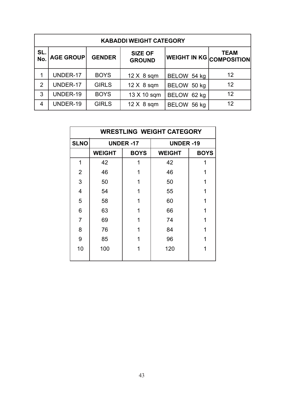| <b>KABADDI WEIGHT CATEGORY</b> |                  |               |                                 |                                 |             |  |  |  |  |  |
|--------------------------------|------------------|---------------|---------------------------------|---------------------------------|-------------|--|--|--|--|--|
| SL.<br>No.                     | <b>AGE GROUP</b> | <b>GENDER</b> | <b>SIZE OF</b><br><b>GROUND</b> | <b>WEIGHT IN KG COMPOSITION</b> | <b>TEAM</b> |  |  |  |  |  |
| 1                              | UNDER-17         | <b>BOYS</b>   | $12 \times 8$ sqm               | BELOW 54 kg                     | 12          |  |  |  |  |  |
| $\overline{2}$                 | UNDER-17         | <b>GIRLS</b>  | $12 \times 8$ sqm               | BELOW 50 kg                     | 12          |  |  |  |  |  |
| 3                              | UNDER-19         | <b>BOYS</b>   | 13 X 10 sqm                     | BELOW 62 kg                     | 12          |  |  |  |  |  |
| 4                              | UNDER-19         | <b>GIRLS</b>  | $12 \times 8$ sqm               | <b>BELOW</b><br>56 kg           | 12          |  |  |  |  |  |

| <b>WRESTLING WEIGHT CATEGORY</b> |               |                  |                  |             |  |  |  |  |
|----------------------------------|---------------|------------------|------------------|-------------|--|--|--|--|
| <b>SLNO</b>                      |               | <b>UNDER -17</b> | <b>UNDER -19</b> |             |  |  |  |  |
|                                  | <b>WEIGHT</b> | <b>BOYS</b>      | <b>WEIGHT</b>    | <b>BOYS</b> |  |  |  |  |
| 1                                | 42            | 1                | 42               | 1           |  |  |  |  |
| 2                                | 46            | 1                | 46               | 1           |  |  |  |  |
| 3                                | 50            | 1                | 50               | 1           |  |  |  |  |
| 4                                | 54            | 1                | 55               | 1           |  |  |  |  |
| 5                                | 58            | 1                | 60               | 1           |  |  |  |  |
| 6                                | 63            | 1                | 66               | 1           |  |  |  |  |
| $\overline{7}$                   | 69            | 1                | 74               | 1           |  |  |  |  |
| 8                                | 76            |                  | 84               | 1           |  |  |  |  |
| 9                                | 85            | 1                | 96               | 1           |  |  |  |  |
| 10                               | 100           | 1                | 120              | 1           |  |  |  |  |
|                                  |               |                  |                  |             |  |  |  |  |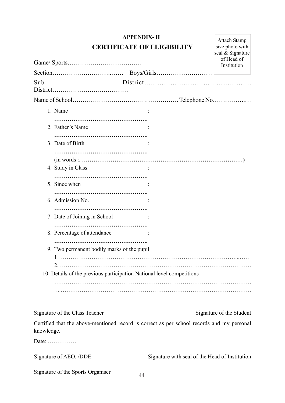# **APPENDIX- II CERTIFICATE OF ELIGIBILITY**

Attach Stamp size photo with

|            |                                                                                            | seal & Signature<br>of Head of<br>Institution |
|------------|--------------------------------------------------------------------------------------------|-----------------------------------------------|
|            |                                                                                            |                                               |
| Sub        |                                                                                            |                                               |
|            |                                                                                            |                                               |
|            | 1. Name                                                                                    |                                               |
|            | 2. Father's Name                                                                           |                                               |
|            | 3. Date of Birth                                                                           |                                               |
|            | 4. Study in Class                                                                          |                                               |
|            | 5. Since when                                                                              |                                               |
|            | 6. Admission No.                                                                           |                                               |
|            | 7. Date of Joining in School                                                               |                                               |
|            | 8. Percentage of attendance                                                                |                                               |
|            | 9. Two permanent bodily marks of the pupil                                                 |                                               |
|            | 10. Details of the previous participation National level competitions                      |                                               |
|            |                                                                                            |                                               |
|            | Signature of the Class Teacher                                                             | Signature of the Student                      |
| knowledge. | Certified that the above-mentioned record is correct as per school records and my personal |                                               |

Date: ……………

|  | Signature of the Sports Organiser |
|--|-----------------------------------|
|  |                                   |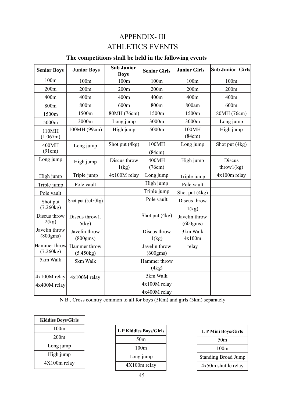# APPENDIX- III ATHLETICS EVENTS

# **The competitions shall be held in the following events**

| <b>Senior Boys</b>        | <b>Junior Boys</b>        | <b>Sub Junior</b><br><b>Boys</b> | <b>Senior Girls</b>       | <b>Junior Girls</b>       | <b>Sub Junior Girls</b> |
|---------------------------|---------------------------|----------------------------------|---------------------------|---------------------------|-------------------------|
| 100m                      | 100m                      | 100m                             | 100 <sub>m</sub>          | 100 <sub>m</sub>          | 100 <sub>m</sub>        |
| 200m                      | 200m                      | 200m                             | 200m                      | 200m                      | 200m                    |
| 400m                      | 400m                      | 400m                             | 400m                      | 400m                      | 400m                    |
| 800m                      | 800m                      | 600m                             | 800m                      | 800am                     | 600m                    |
| 1500m                     | 1500m                     | 80MH (76cm)                      | 1500m                     | 1500m                     | 80MH (76cm)             |
| 5000m                     | 3000m                     | Long jump                        | 3000m                     | 3000m                     | Long jump               |
| 110MH<br>(1.067m)         | 100MH (99cm)              | High jump                        | 5000m                     | 100MH<br>(84cm)           | High jump               |
| 400MH<br>(91cm)           | Long jump                 | Shot put (4kg)                   | 100MH<br>(84cm)           | Long jump                 | Shot put (4kg)          |
| Long jump                 | High jump                 | Discus throw<br>$1$ (kg)         | 400MH<br>(76cm)           | High jump                 | Discus<br>through(kg)   |
| High jump                 | Triple jump               | 4x100M relay                     | Long jump                 | Triple jump               | 4x100m relay            |
| Triple jump               | Pole vault                |                                  | High jump                 | Pole vault                |                         |
| Pole vault                |                           |                                  | Triple jump               | Shot put (4kg)            |                         |
| Shot put<br>(7.260kg)     | Shot put $(5.450kg)$      |                                  | Pole vault                | Discus throw<br>$1$ (kg)  |                         |
| Discus throw<br>2(kg)     | Discus throw1.<br>5(kg)   |                                  | Shot put (4kg)            | Javelin throw<br>(600gms) |                         |
| Javelin throw<br>(800gms) | Javelin throw<br>(800gms) |                                  | Discus throw<br>1(kg)     | 3km Walk<br>4x100m        |                         |
| Hammer throw<br>(7.260kg) | Hammer throw<br>(5.450kg) |                                  | Javelin throw<br>(600gms) | relay                     |                         |
| 5km Walk                  | 5km Walk                  |                                  | Hammer throw<br>(4kg)     |                           |                         |
| 4x100M relay              | 4x100M relay              |                                  | 5km Walk                  |                           |                         |
| 4x400M relay              |                           |                                  | 4x100M relay              |                           |                         |
|                           |                           |                                  | 4x400M relay              |                           |                         |

N B:. Cross country common to all for boys (5Km) and girls (3km) separately

| <b>Kiddies Boys/Girls</b> |
|---------------------------|
| 100m                      |
| 200m                      |
| Long jump                 |
| High jump                 |
| 4X100m relay              |

| <b>L P Kiddies Boys/Girls</b> |
|-------------------------------|
| 50 <sub>m</sub>               |
| 100m                          |
| Long jump                     |
| 4X100m relay                  |

| <b>LP Mini Boys/Girls</b>  |  |  |  |  |  |  |
|----------------------------|--|--|--|--|--|--|
| 50 <sub>m</sub>            |  |  |  |  |  |  |
| 100m                       |  |  |  |  |  |  |
| <b>Standing Broad Jump</b> |  |  |  |  |  |  |
| $4x50m$ shuttle relay      |  |  |  |  |  |  |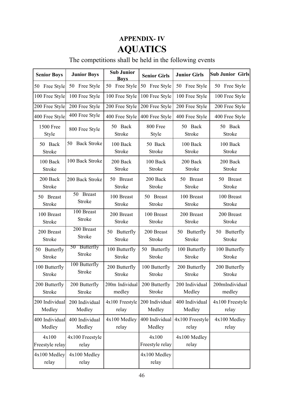# **APPENDIX- IV AQUATICS**

# The competitions shall be held in the following events

| <b>Senior Boys</b>          | <b>Junior Boys</b>            | <b>Sub Junior</b><br><b>Boys</b> | <b>Senior Girls</b>              | <b>Junior Girls</b>              | Sub Junior Girls               |
|-----------------------------|-------------------------------|----------------------------------|----------------------------------|----------------------------------|--------------------------------|
| 50 Free Style               | 50 Free Style                 | Free Style<br>50                 | 50<br>Free Style                 | 50 Free Style                    | 50<br>Free Style               |
| 100 Free Style              | 100 Free Style                | 100 Free Style                   | 100 Free Style                   | 100 Free Style                   | 100 Free Style                 |
| 200 Free Style              | 200 Free Style                | 200 Free Style                   | 200 Free Style                   | 200 Free Style                   | 200 Free Style                 |
| 400 Free Style              | 400 Free Style                | 400 Free Style                   | 400 Free Style                   | 400 Free Style                   | 400 Free Style                 |
| <b>1500 Free</b>            | 800 Free Style                | 50 Back                          | 800 Free                         | 50 Back                          | 50 Back                        |
| Style                       |                               | <b>Stroke</b>                    | Style                            | <b>Stroke</b>                    | Stroke                         |
| 50 Back                     | <b>Back Stroke</b>            | 100 Back                         | 50 Back                          | 100 Back                         | 100 Back                       |
| <b>Stroke</b>               | 50                            | <b>Stroke</b>                    | <b>Stroke</b>                    | <b>Stroke</b>                    | <b>Stroke</b>                  |
| 100 Back                    | 100 Back Stroke               | 200 Back                         | 100 Back                         | 200 Back                         | 200 Back                       |
| <b>Stroke</b>               |                               | <b>Stroke</b>                    | <b>Stroke</b>                    | Stroke                           | <b>Stroke</b>                  |
| 200 Back                    | 200 Back Stroke               | 50 Breast                        | 200 Back                         | 50 Breast                        | 50 Breast                      |
| <b>Stroke</b>               |                               | <b>Stroke</b>                    | <b>Stroke</b>                    | <b>Stroke</b>                    | <b>Stroke</b>                  |
| 50 Breast                   | 50 Breast                     | 100 Breast                       | 50 Breast                        | 100 Breast                       | 100 Breast                     |
| Stroke                      | Stroke                        | Stroke                           | <b>Stroke</b>                    | Stroke                           | Stroke                         |
| 100 Breast                  | 100 Breast                    | 200 Breast                       | 100 Breast                       | 200 Breast                       | 200 Breast                     |
| <b>Stroke</b>               | Stroke                        | <b>Stroke</b>                    | Stroke                           | <b>Stroke</b>                    | Stroke                         |
| 200 Breast<br><b>Stroke</b> | 200 Breast<br>Stroke          | Butterfly<br>50<br><b>Stroke</b> | 200 Breast<br><b>Stroke</b>      | Butterfly<br>50<br><b>Stroke</b> | 50 Butterfly<br><b>Stroke</b>  |
| 50 Butterfly<br>Stroke      | 50 Butterfly<br><b>Stroke</b> | 100 Butterfly<br><b>Stroke</b>   | Butterfly<br>50<br><b>Stroke</b> | 100 Butterfly<br><b>Stroke</b>   | 100 Butterfly<br><b>Stroke</b> |
| 100 Butterfly               | 100 Butterfly                 | 200 Butterfly                    | 100 Butterfly                    | 200 Butterfly                    | 200 Butterfly                  |
| <b>Stroke</b>               | <b>Stroke</b>                 | <b>Stroke</b>                    | <b>Stroke</b>                    | <b>Stroke</b>                    | <b>Stroke</b>                  |
| 200 Butterfly               | 200 Butterfly                 | 200m Individual                  | 200 Butterfly                    | 200 Individual                   | 200mIndividual                 |
| <b>Stroke</b>               | <b>Stroke</b>                 | medley                           | <b>Stroke</b>                    | Medley                           | medley                         |
| 200 Individual              | 200 Individual                | 4x100 Freestyle                  | 200 Individual                   | 400 Individual                   | 4x100 Freestyle                |
| Medley                      | Medley                        | relay                            | Medley                           | Medley                           | relay                          |
| 400 Individual              | 400 Individual                | 4x100 Medley                     | 400 Individual                   | 4x100 Freestyle                  | 4x100 Medley                   |
| Medley                      | Medley                        | relay                            | Medley                           | relay                            | relay                          |
| 4x100<br>Freestyle relay    | 4x100 Freestyle<br>relay      |                                  | 4x100<br>Freestyle relay         | 4x100 Medley<br>relay            |                                |
| 4x100 Medley<br>relay       | 4x100 Medley<br>relay         |                                  | 4x100 Medley<br>relay            |                                  |                                |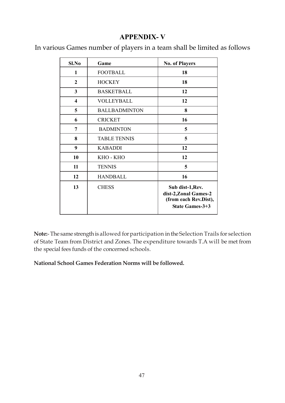# **APPENDIX- V**

In various Games number of players in a team shall be limited as follows

| Sl.No            | Game                 | <b>No. of Players</b>                                                                        |  |  |  |
|------------------|----------------------|----------------------------------------------------------------------------------------------|--|--|--|
| 1                | <b>FOOTBALL</b>      | 18                                                                                           |  |  |  |
| $\boldsymbol{2}$ | <b>HOCKEY</b>        | 18                                                                                           |  |  |  |
| $\mathbf{3}$     | <b>BASKETBALL</b>    | 12                                                                                           |  |  |  |
| 4                | <b>VOLLEYBALL</b>    | 12                                                                                           |  |  |  |
| 5                | <b>BALLBADMINTON</b> | 8                                                                                            |  |  |  |
| 6                | <b>CRICKET</b>       | 16                                                                                           |  |  |  |
| 7                | <b>BADMINTON</b>     | 5                                                                                            |  |  |  |
| 8                | <b>TABLE TENNIS</b>  | 5                                                                                            |  |  |  |
| 9                | <b>KABADDI</b>       | 12                                                                                           |  |  |  |
| 10               | KHO - KHO            | 12                                                                                           |  |  |  |
| 11               | <b>TENNIS</b>        | 5                                                                                            |  |  |  |
| 12               | <b>HANDBALL</b>      | 16                                                                                           |  |  |  |
| 13               | <b>CHESS</b>         | Sub dist-1, Rev.<br>dist-2, Zonal Games-2<br>(from each Rev.Dist),<br><b>State Games-3+3</b> |  |  |  |

**Note:**- The same strength is allowed for participation in the Selection Trails for selection of State Team from District and Zones. The expenditure towards T.A will be met from the special fees funds of the concerned schools.

**National School Games Federation Norms will be followed.**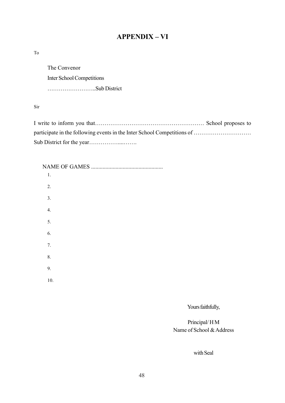# **APPENDIX – VI**

To

The Convenor Inter School Competitions ……………………..Sub District

Sir

I write to inform you that………………………………………………… School proposes to participate in the following events in the Inter School Competitions of ……………………… Sub District for the year……………....…….

| $1. \,$          |
|------------------|
| 2.               |
| 3.               |
| $\overline{4}$ . |
| 5.               |
| 6.               |
| 7.               |
| 8.               |
| 9.               |
| $10.$            |
|                  |

Yours faithfully,

# Principal/ H M Name of School & Address

with Seal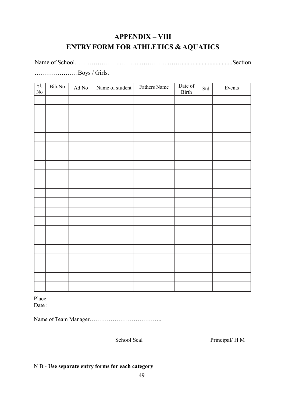# **APPENDIX – VIII ENTRY FORM FOR ATHLETICS & AQUATICS**

Name of School……………………………………………………………………………Section

…………………Boys / Girls.

| $\overline{SI.}$<br>$\rm No$ | $\overline{Bib}.\overline{No}$ | $\operatorname{Ad}.\mathrm{No}$ | Name of student | Fathers Name | Date of<br>Birth | Std | Events |
|------------------------------|--------------------------------|---------------------------------|-----------------|--------------|------------------|-----|--------|
|                              |                                |                                 |                 |              |                  |     |        |
|                              |                                |                                 |                 |              |                  |     |        |
|                              |                                |                                 |                 |              |                  |     |        |
|                              |                                |                                 |                 |              |                  |     |        |
|                              |                                |                                 |                 |              |                  |     |        |
|                              |                                |                                 |                 |              |                  |     |        |
|                              |                                |                                 |                 |              |                  |     |        |
|                              |                                |                                 |                 |              |                  |     |        |
|                              |                                |                                 |                 |              |                  |     |        |
|                              |                                |                                 |                 |              |                  |     |        |
|                              |                                |                                 |                 |              |                  |     |        |
|                              |                                |                                 |                 |              |                  |     |        |
|                              |                                |                                 |                 |              |                  |     |        |
|                              |                                |                                 |                 |              |                  |     |        |
|                              |                                |                                 |                 |              |                  |     |        |
|                              |                                |                                 |                 |              |                  |     |        |
|                              |                                |                                 |                 |              |                  |     |        |
|                              |                                |                                 |                 |              |                  |     |        |
|                              |                                |                                 |                 |              |                  |     |        |
|                              |                                |                                 |                 |              |                  |     |        |
|                              |                                |                                 |                 |              |                  |     |        |

Place:

Date :

Name of Team Manager………………………………..

School Seal Principal/ H M

# N B:- **Use separate entry forms for each category**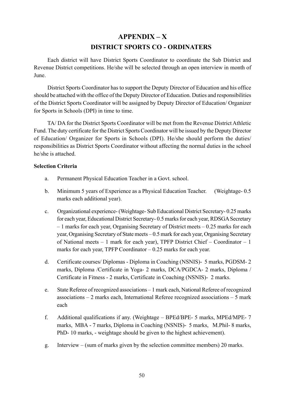# **APPENDIX – X DISTRICT SPORTS CO - ORDINATERS**

Each district will have District Sports Coordinator to coordinate the Sub District and Revenue District competitions. He/she will be selected through an open interview in month of June.

District Sports Coordinator has to support the Deputy Director of Education and his office should be attached with the office of the Deputy Director of Education. Duties and responsibilities of the District Sports Coordinator will be assigned by Deputy Director of Education/ Organizer for Sports in Schools (DPI) in time to time.

TA/ DA for the District Sports Coordinator will be met from the Revenue District Athletic Fund. The duty certificate for the District Sports Coordinator will be issued by the Deputy Director of Education/ Organizer for Sports in Schools (DPI). He/she should perform the duties/ responsibilities as District Sports Coordinator without affecting the normal duties in the school he/she is attached.

#### **Selection Criteria**

- a. Permanent Physical Education Teacher in a Govt. school.
- b. Minimum 5 years of Experience as a Physical Education Teacher. (Weightage- 0.5 marks each additional year).
- c. Organizational experience- (Weightage- Sub Educational District Secretary- 0.25 marks for each year, Educational District Secretary- 0.5 marks for each year, RDSGA Secretary – 1 marks for each year, Organising Secretary of District meets – 0.25 marks for each year, Organising Secretary of State meets – 0.5 mark for each year, Organising Secretary of National meets – 1 mark for each year), TPFP District Chief – Coordinator – 1 marks for each year, TPFP Coordinator – 0.25 marks for each year.
- d. Certificate courses/ Diplomas Diploma in Coaching (NSNIS)- 5 marks, PGDSM- 2 marks, Diploma /Certificate in Yoga- 2 marks, DCA/PGDCA- 2 marks, Diploma / Certificate in Fitness - 2 marks, Certificate in Coaching (NSNIS)- 2 marks.
- e. State Referee of recognized associations 1 mark each, National Referee of recognized associations – 2 marks each, International Referee recognized associations – 5 mark each
- f. Additional qualifications if any. (Weightage BPEd/BPE- 5 marks, MPEd/MPE- 7 marks, MBA - 7 marks, Diploma in Coaching (NSNIS)- 5 marks, M.Phil- 8 marks, PhD- 10 marks, - weightage should be given to the highest achievement).
- g. Interview (sum of marks given by the selection committee members) 20 marks.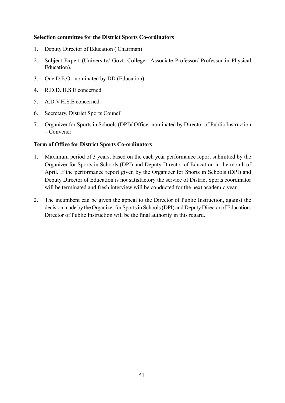#### **Selection committee for the District Sports Co-ordinators**

- 1. Deputy Director of Education ( Chairman)
- 2. Subject Expert (University/ Govt. College –Associate Professor/ Professor in Physical Education).
- 3. One D.E.O. nominated by DD (Education)
- 4. R.D.D. H.S.E.concerned.
- 5. A.D.V.H.S.E concerned.
- 6. Secretary, District Sports Council
- 7. Organizer for Sports in Schools (DPI)/ Officer nominated by Director of Public Instruction – Convener

#### **Term of Office for District Sports Co-ordinators**

- 1. Maximum period of 3 years, based on the each year performance report submitted by the Organizer for Sports in Schools (DPI) and Deputy Director of Education in the month of April. If the performance report given by the Organizer for Sports in Schools (DPI) and Deputy Director of Education is not satisfactory the service of District Sports coordinator will be terminated and fresh interview will be conducted for the next academic year.
- 2. The incumbent can be given the appeal to the Director of Public Instruction, against the decision made by the Organizer for Sports in Schools (DPI) and Deputy Director of Education. Director of Public Instruction will be the final authority in this regard.